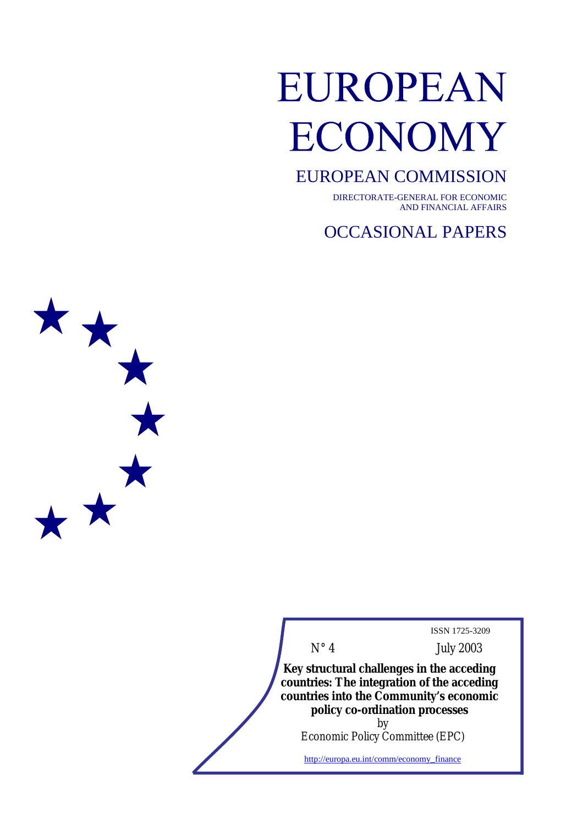# EUROPEAN **ECONOMY**

# EUROPEAN COMMISSION

DIRECTORATE-GENERAL FOR ECONOMIC AND FINANCIAL AFFAIRS

OCCASIONAL PAPERS



ISSN 1725-3209

N° 4 July 2003

**Key structural challenges in the acceding countries: The integration of the acceding countries into the Community's economic policy co-ordination processes** by

Economic Policy Committee (EPC)

http://europa.eu.int/comm/economy\_finance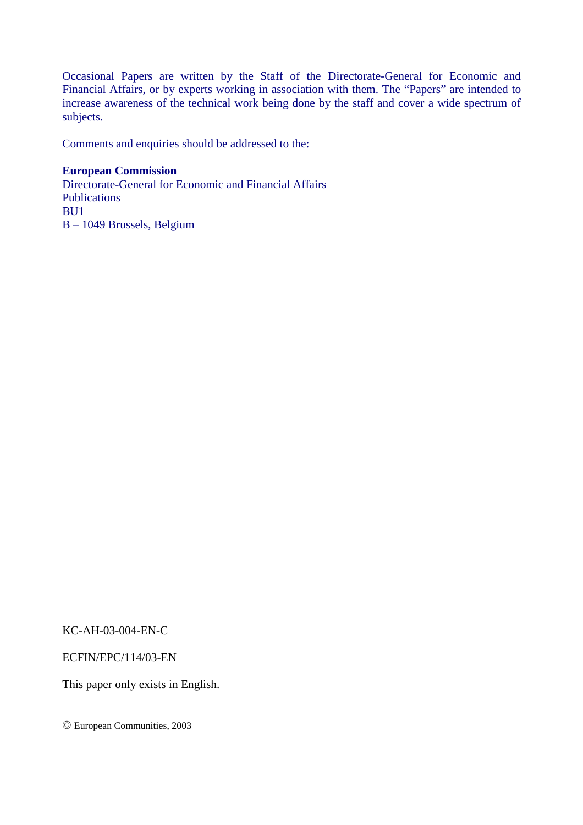Occasional Papers are written by the Staff of the Directorate-General for Economic and Financial Affairs, or by experts working in association with them. The "Papers" are intended to increase awareness of the technical work being done by the staff and cover a wide spectrum of subjects.

Comments and enquiries should be addressed to the:

# **European Commission**

Directorate-General for Economic and Financial Affairs **Publications** BU1 B – 1049 Brussels, Belgium

KC-AH-03-004-EN-C

ECFIN/EPC/114/03-EN

This paper only exists in English.

© European Communities, 2003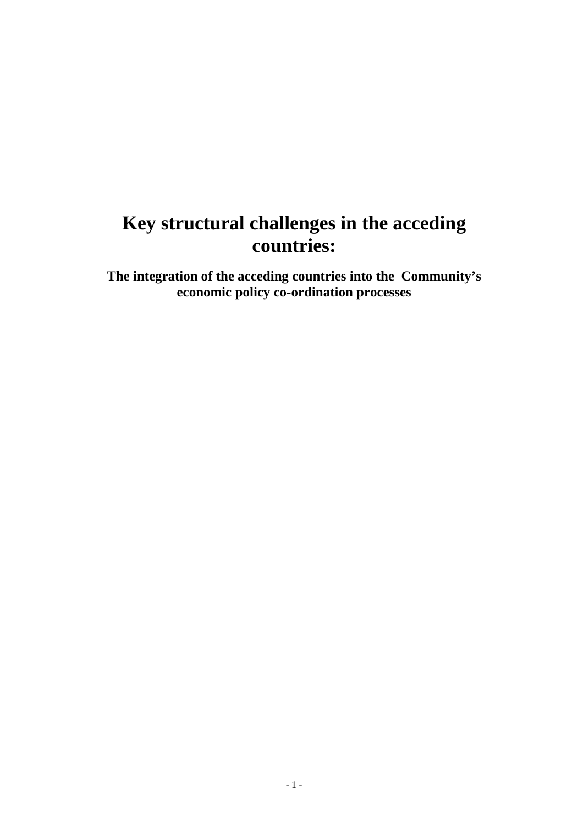# **Key structural challenges in the acceding countries:**

**The integration of the acceding countries into the Community's economic policy co-ordination processes**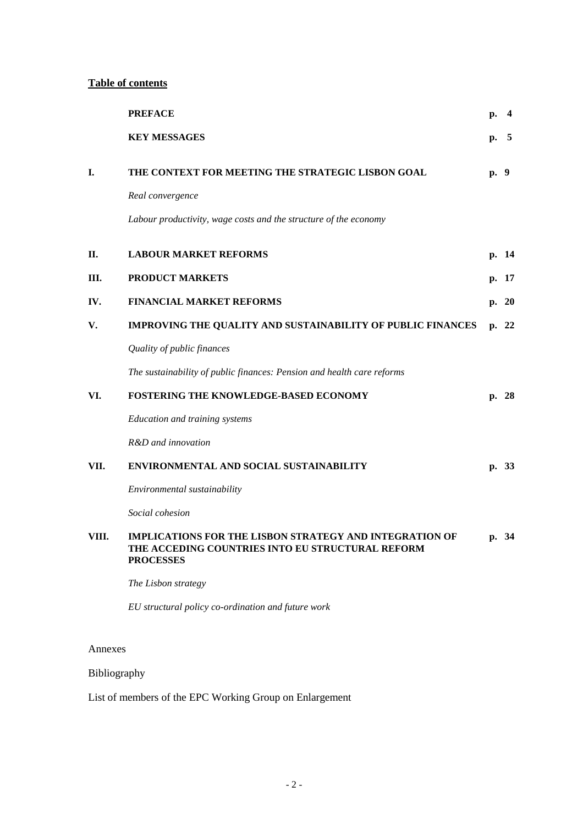# **Table of contents**

|         | <b>PREFACE</b>                                                                                                                         | p.   | -4    |
|---------|----------------------------------------------------------------------------------------------------------------------------------------|------|-------|
|         | <b>KEY MESSAGES</b>                                                                                                                    | p.   | - 5   |
| I.      | THE CONTEXT FOR MEETING THE STRATEGIC LISBON GOAL                                                                                      | p. 9 |       |
|         | Real convergence                                                                                                                       |      |       |
|         | Labour productivity, wage costs and the structure of the economy                                                                       |      |       |
| П.      | <b>LABOUR MARKET REFORMS</b>                                                                                                           |      | p. 14 |
| Ш.      | <b>PRODUCT MARKETS</b>                                                                                                                 |      | p. 17 |
| IV.     | <b>FINANCIAL MARKET REFORMS</b>                                                                                                        |      | p. 20 |
| V.      | IMPROVING THE QUALITY AND SUSTAINABILITY OF PUBLIC FINANCES                                                                            |      | p. 22 |
|         | Quality of public finances                                                                                                             |      |       |
|         | The sustainability of public finances: Pension and health care reforms                                                                 |      |       |
| VI.     | FOSTERING THE KNOWLEDGE-BASED ECONOMY                                                                                                  |      | p. 28 |
|         | Education and training systems                                                                                                         |      |       |
|         | R&D and innovation                                                                                                                     |      |       |
| VII.    | ENVIRONMENTAL AND SOCIAL SUSTAINABILITY                                                                                                |      | p. 33 |
|         | Environmental sustainability                                                                                                           |      |       |
|         | Social cohesion                                                                                                                        |      |       |
| VIII.   | <b>IMPLICATIONS FOR THE LISBON STRATEGY AND INTEGRATION OF</b><br>THE ACCEDING COUNTRIES INTO EU STRUCTURAL REFORM<br><b>PROCESSES</b> |      | p. 34 |
|         | The Lisbon strategy                                                                                                                    |      |       |
|         | EU structural policy co-ordination and future work                                                                                     |      |       |
| Annexes |                                                                                                                                        |      |       |
|         |                                                                                                                                        |      |       |

# Bibliography

List of members of the EPC Working Group on Enlargement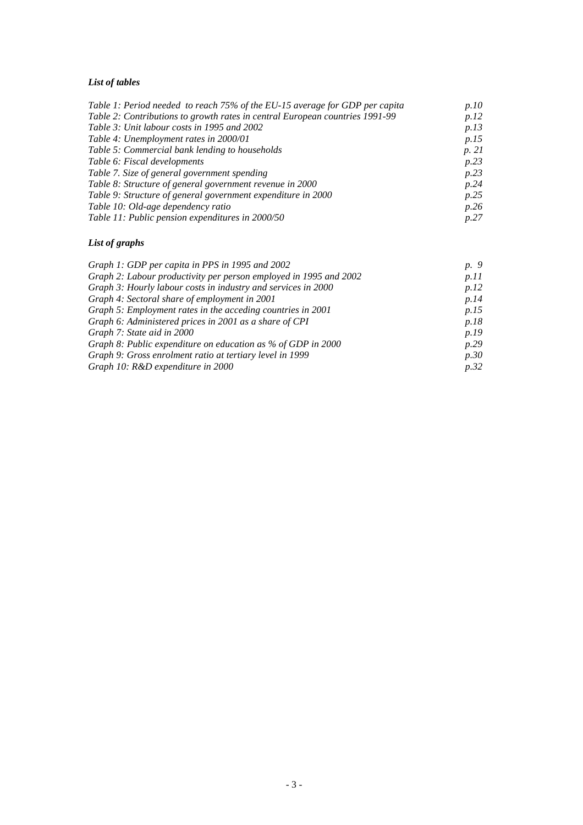# *List of tables*

| Table 1: Period needed to reach 75% of the EU-15 average for GDP per capita  | p.10  |
|------------------------------------------------------------------------------|-------|
| Table 2: Contributions to growth rates in central European countries 1991-99 | p.12  |
| Table 3: Unit labour costs in 1995 and 2002                                  | p.13  |
| Table 4: Unemployment rates in 2000/01                                       | p.15  |
| Table 5: Commercial bank lending to households                               | p. 21 |
| Table 6: Fiscal developments                                                 | p.23  |
| Table 7. Size of general government spending                                 | p.23  |
| Table 8: Structure of general government revenue in 2000                     | p.24  |
| Table 9: Structure of general government expenditure in 2000                 | p.25  |
| Table 10: Old-age dependency ratio                                           | p.26  |
| Table 11: Public pension expenditures in 2000/50                             | p.27  |

# *List of graphs*

| Graph 1: GDP per capita in PPS in 1995 and 2002                   | p. 9        |
|-------------------------------------------------------------------|-------------|
| Graph 2: Labour productivity per person employed in 1995 and 2002 | p.11        |
| Graph 3: Hourly labour costs in industry and services in 2000     | p.12        |
| Graph 4: Sectoral share of employment in 2001                     | p.14        |
| Graph 5: Employment rates in the acceding countries in 2001       | p.15        |
| Graph 6: Administered prices in 2001 as a share of CPI            | p.18        |
| Graph 7: State aid in 2000                                        | <i>p.19</i> |
| Graph 8: Public expenditure on education as % of GDP in 2000      | p.29        |
| Graph 9: Gross enrolment ratio at tertiary level in 1999          | p.30        |
| Graph 10: R&D expenditure in 2000                                 | p.32        |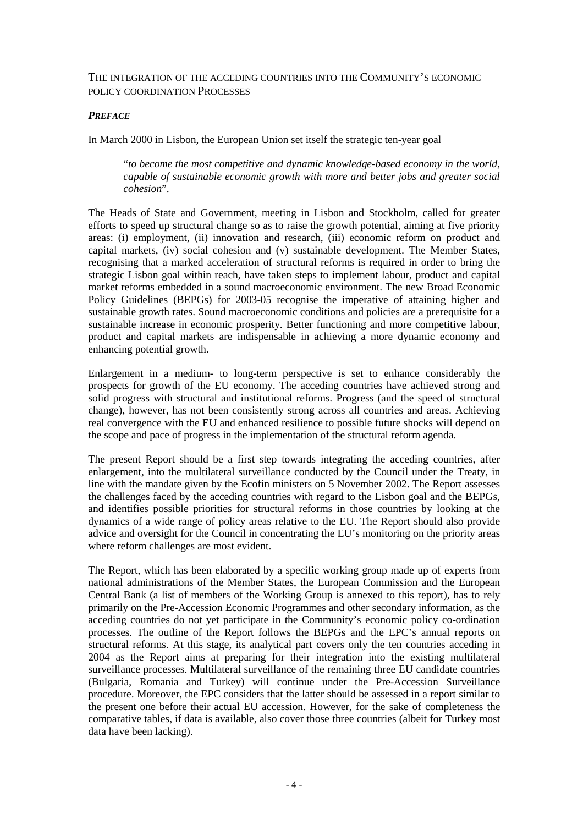#### THE INTEGRATION OF THE ACCEDING COUNTRIES INTO THE COMMUNITY'S ECONOMIC POLICY COORDINATION PROCESSES

#### *PREFACE*

In March 2000 in Lisbon, the European Union set itself the strategic ten-year goal

"*to become the most competitive and dynamic knowledge-based economy in the world, capable of sustainable economic growth with more and better jobs and greater social cohesion*".

The Heads of State and Government, meeting in Lisbon and Stockholm, called for greater efforts to speed up structural change so as to raise the growth potential, aiming at five priority areas: (i) employment, (ii) innovation and research, (iii) economic reform on product and capital markets, (iv) social cohesion and (v) sustainable development. The Member States, recognising that a marked acceleration of structural reforms is required in order to bring the strategic Lisbon goal within reach, have taken steps to implement labour, product and capital market reforms embedded in a sound macroeconomic environment. The new Broad Economic Policy Guidelines (BEPGs) for 2003-05 recognise the imperative of attaining higher and sustainable growth rates. Sound macroeconomic conditions and policies are a prerequisite for a sustainable increase in economic prosperity. Better functioning and more competitive labour, product and capital markets are indispensable in achieving a more dynamic economy and enhancing potential growth.

Enlargement in a medium- to long-term perspective is set to enhance considerably the prospects for growth of the EU economy. The acceding countries have achieved strong and solid progress with structural and institutional reforms. Progress (and the speed of structural change), however, has not been consistently strong across all countries and areas. Achieving real convergence with the EU and enhanced resilience to possible future shocks will depend on the scope and pace of progress in the implementation of the structural reform agenda.

The present Report should be a first step towards integrating the acceding countries, after enlargement, into the multilateral surveillance conducted by the Council under the Treaty, in line with the mandate given by the Ecofin ministers on 5 November 2002. The Report assesses the challenges faced by the acceding countries with regard to the Lisbon goal and the BEPGs, and identifies possible priorities for structural reforms in those countries by looking at the dynamics of a wide range of policy areas relative to the EU. The Report should also provide advice and oversight for the Council in concentrating the EU's monitoring on the priority areas where reform challenges are most evident.

The Report, which has been elaborated by a specific working group made up of experts from national administrations of the Member States, the European Commission and the European Central Bank (a list of members of the Working Group is annexed to this report), has to rely primarily on the Pre-Accession Economic Programmes and other secondary information, as the acceding countries do not yet participate in the Community's economic policy co-ordination processes. The outline of the Report follows the BEPGs and the EPC's annual reports on structural reforms. At this stage, its analytical part covers only the ten countries acceding in 2004 as the Report aims at preparing for their integration into the existing multilateral surveillance processes. Multilateral surveillance of the remaining three EU candidate countries (Bulgaria, Romania and Turkey) will continue under the Pre-Accession Surveillance procedure. Moreover, the EPC considers that the latter should be assessed in a report similar to the present one before their actual EU accession. However, for the sake of completeness the comparative tables, if data is available, also cover those three countries (albeit for Turkey most data have been lacking).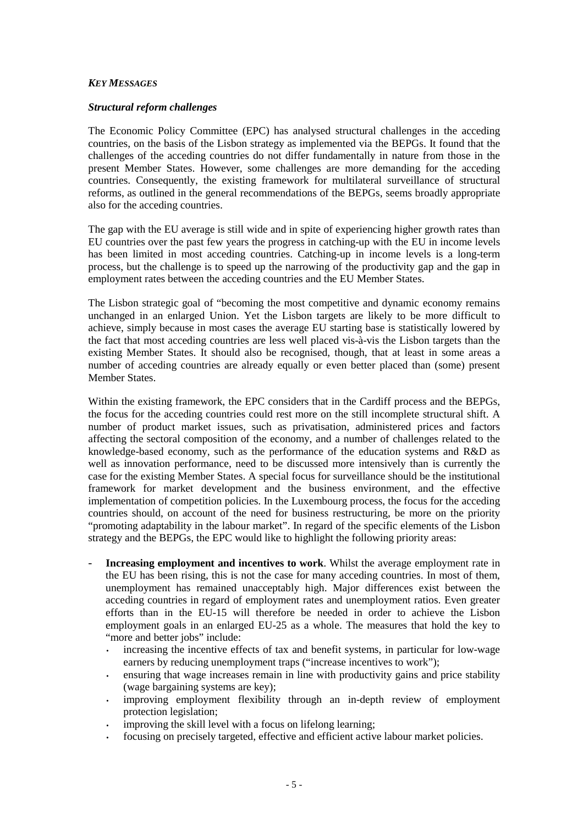#### *KEY MESSAGES*

#### *Structural reform challenges*

The Economic Policy Committee (EPC) has analysed structural challenges in the acceding countries, on the basis of the Lisbon strategy as implemented via the BEPGs. It found that the challenges of the acceding countries do not differ fundamentally in nature from those in the present Member States. However, some challenges are more demanding for the acceding countries. Consequently, the existing framework for multilateral surveillance of structural reforms, as outlined in the general recommendations of the BEPGs, seems broadly appropriate also for the acceding countries.

The gap with the EU average is still wide and in spite of experiencing higher growth rates than EU countries over the past few years the progress in catching-up with the EU in income levels has been limited in most acceding countries. Catching-up in income levels is a long-term process, but the challenge is to speed up the narrowing of the productivity gap and the gap in employment rates between the acceding countries and the EU Member States.

The Lisbon strategic goal of "becoming the most competitive and dynamic economy remains unchanged in an enlarged Union. Yet the Lisbon targets are likely to be more difficult to achieve, simply because in most cases the average EU starting base is statistically lowered by the fact that most acceding countries are less well placed vis-à-vis the Lisbon targets than the existing Member States. It should also be recognised, though, that at least in some areas a number of acceding countries are already equally or even better placed than (some) present Member States.

Within the existing framework, the EPC considers that in the Cardiff process and the BEPGs, the focus for the acceding countries could rest more on the still incomplete structural shift. A number of product market issues, such as privatisation, administered prices and factors affecting the sectoral composition of the economy, and a number of challenges related to the knowledge-based economy, such as the performance of the education systems and R&D as well as innovation performance, need to be discussed more intensively than is currently the case for the existing Member States. A special focus for surveillance should be the institutional framework for market development and the business environment, and the effective implementation of competition policies. In the Luxembourg process, the focus for the acceding countries should, on account of the need for business restructuring, be more on the priority "promoting adaptability in the labour market". In regard of the specific elements of the Lisbon strategy and the BEPGs, the EPC would like to highlight the following priority areas:

- **Increasing employment and incentives to work**. Whilst the average employment rate in the EU has been rising, this is not the case for many acceding countries. In most of them, unemployment has remained unacceptably high. Major differences exist between the acceding countries in regard of employment rates and unemployment ratios. Even greater efforts than in the EU-15 will therefore be needed in order to achieve the Lisbon employment goals in an enlarged EU-25 as a whole. The measures that hold the key to "more and better jobs" include:
	- increasing the incentive effects of tax and benefit systems, in particular for low-wage earners by reducing unemployment traps ("increase incentives to work");
	- ensuring that wage increases remain in line with productivity gains and price stability (wage bargaining systems are key);
	- improving employment flexibility through an in-depth review of employment protection legislation;
	- improving the skill level with a focus on lifelong learning;
	- focusing on precisely targeted, effective and efficient active labour market policies.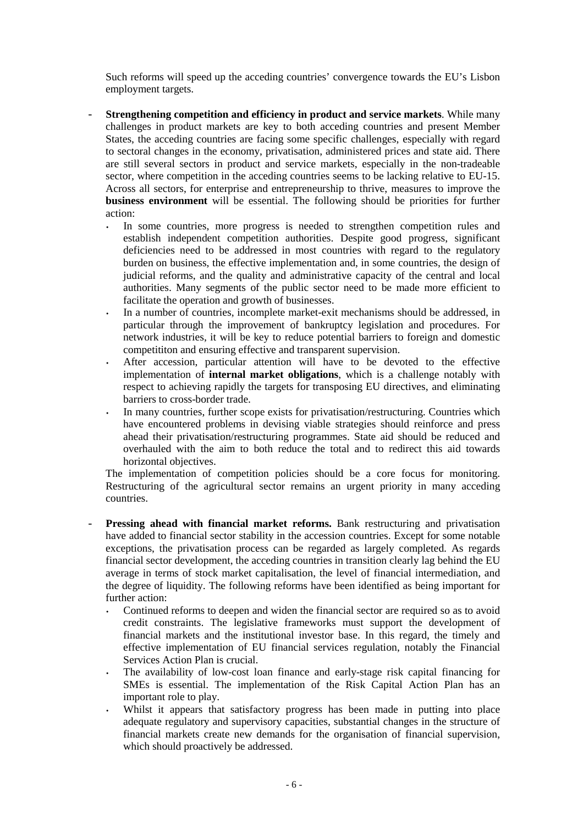Such reforms will speed up the acceding countries' convergence towards the EU's Lisbon employment targets.

- **Strengthening competition and efficiency in product and service markets**. While many challenges in product markets are key to both acceding countries and present Member States, the acceding countries are facing some specific challenges, especially with regard to sectoral changes in the economy, privatisation, administered prices and state aid. There are still several sectors in product and service markets, especially in the non-tradeable sector, where competition in the acceding countries seems to be lacking relative to EU-15. Across all sectors, for enterprise and entrepreneurship to thrive, measures to improve the **business environment** will be essential. The following should be priorities for further action:
	- In some countries, more progress is needed to strengthen competition rules and establish independent competition authorities. Despite good progress, significant deficiencies need to be addressed in most countries with regard to the regulatory burden on business, the effective implementation and, in some countries, the design of judicial reforms, and the quality and administrative capacity of the central and local authorities. Many segments of the public sector need to be made more efficient to facilitate the operation and growth of businesses.
	- In a number of countries, incomplete market-exit mechanisms should be addressed, in particular through the improvement of bankruptcy legislation and procedures. For network industries, it will be key to reduce potential barriers to foreign and domestic competititon and ensuring effective and transparent supervision.
	- After accession, particular attention will have to be devoted to the effective implementation of **internal market obligations**, which is a challenge notably with respect to achieving rapidly the targets for transposing EU directives, and eliminating barriers to cross-border trade.
	- In many countries, further scope exists for privatisation/restructuring. Countries which have encountered problems in devising viable strategies should reinforce and press ahead their privatisation/restructuring programmes. State aid should be reduced and overhauled with the aim to both reduce the total and to redirect this aid towards horizontal objectives.

The implementation of competition policies should be a core focus for monitoring. Restructuring of the agricultural sector remains an urgent priority in many acceding countries.

- **Pressing ahead with financial market reforms.** Bank restructuring and privatisation have added to financial sector stability in the accession countries. Except for some notable exceptions, the privatisation process can be regarded as largely completed. As regards financial sector development, the acceding countries in transition clearly lag behind the EU average in terms of stock market capitalisation, the level of financial intermediation, and the degree of liquidity. The following reforms have been identified as being important for further action:
	- Continued reforms to deepen and widen the financial sector are required so as to avoid credit constraints. The legislative frameworks must support the development of financial markets and the institutional investor base. In this regard, the timely and effective implementation of EU financial services regulation, notably the Financial Services Action Plan is crucial.
	- The availability of low-cost loan finance and early-stage risk capital financing for SMEs is essential. The implementation of the Risk Capital Action Plan has an important role to play.
	- Whilst it appears that satisfactory progress has been made in putting into place adequate regulatory and supervisory capacities, substantial changes in the structure of financial markets create new demands for the organisation of financial supervision, which should proactively be addressed.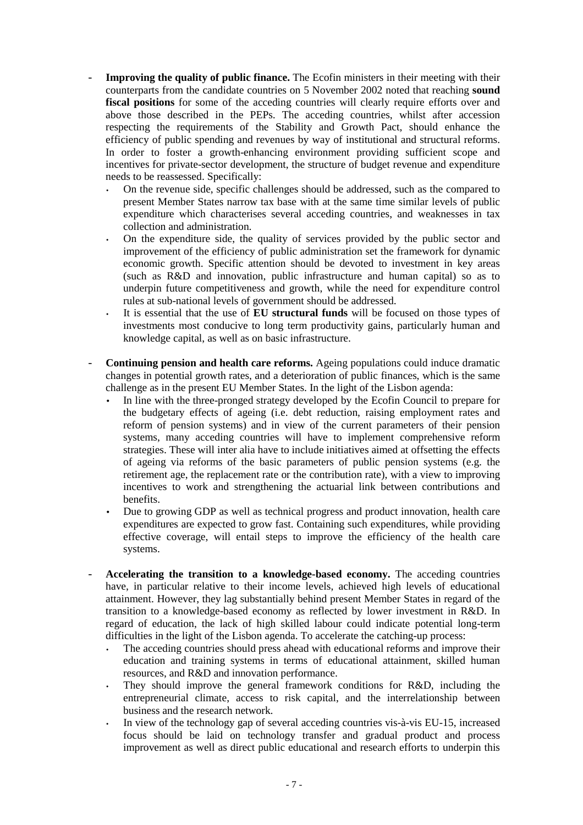- **Improving the quality of public finance.** The Ecofin ministers in their meeting with their counterparts from the candidate countries on 5 November 2002 noted that reaching **sound fiscal positions** for some of the acceding countries will clearly require efforts over and above those described in the PEPs. The acceding countries, whilst after accession respecting the requirements of the Stability and Growth Pact, should enhance the efficiency of public spending and revenues by way of institutional and structural reforms. In order to foster a growth-enhancing environment providing sufficient scope and incentives for private-sector development, the structure of budget revenue and expenditure needs to be reassessed. Specifically:
	- On the revenue side, specific challenges should be addressed, such as the compared to present Member States narrow tax base with at the same time similar levels of public expenditure which characterises several acceding countries, and weaknesses in tax collection and administration.
	- On the expenditure side, the quality of services provided by the public sector and improvement of the efficiency of public administration set the framework for dynamic economic growth. Specific attention should be devoted to investment in key areas (such as R&D and innovation, public infrastructure and human capital) so as to underpin future competitiveness and growth, while the need for expenditure control rules at sub-national levels of government should be addressed.
	- It is essential that the use of **EU structural funds** will be focused on those types of investments most conducive to long term productivity gains, particularly human and knowledge capital, as well as on basic infrastructure.
- **Continuing pension and health care reforms.** Ageing populations could induce dramatic changes in potential growth rates, and a deterioration of public finances, which is the same challenge as in the present EU Member States. In the light of the Lisbon agenda:
	- In line with the three-pronged strategy developed by the Ecofin Council to prepare for the budgetary effects of ageing (i.e. debt reduction, raising employment rates and reform of pension systems) and in view of the current parameters of their pension systems, many acceding countries will have to implement comprehensive reform strategies. These will inter alia have to include initiatives aimed at offsetting the effects of ageing via reforms of the basic parameters of public pension systems (e.g. the retirement age, the replacement rate or the contribution rate), with a view to improving incentives to work and strengthening the actuarial link between contributions and benefits.
	- Due to growing GDP as well as technical progress and product innovation, health care expenditures are expected to grow fast. Containing such expenditures, while providing effective coverage, will entail steps to improve the efficiency of the health care systems.
- **Accelerating the transition to a knowledge-based economy.** The acceding countries have, in particular relative to their income levels, achieved high levels of educational attainment. However, they lag substantially behind present Member States in regard of the transition to a knowledge-based economy as reflected by lower investment in R&D. In regard of education, the lack of high skilled labour could indicate potential long-term difficulties in the light of the Lisbon agenda. To accelerate the catching-up process:
	- The acceding countries should press ahead with educational reforms and improve their education and training systems in terms of educational attainment, skilled human resources, and R&D and innovation performance.
	- They should improve the general framework conditions for R&D, including the entrepreneurial climate, access to risk capital, and the interrelationship between business and the research network.
	- In view of the technology gap of several acceding countries vis-à-vis EU-15, increased focus should be laid on technology transfer and gradual product and process improvement as well as direct public educational and research efforts to underpin this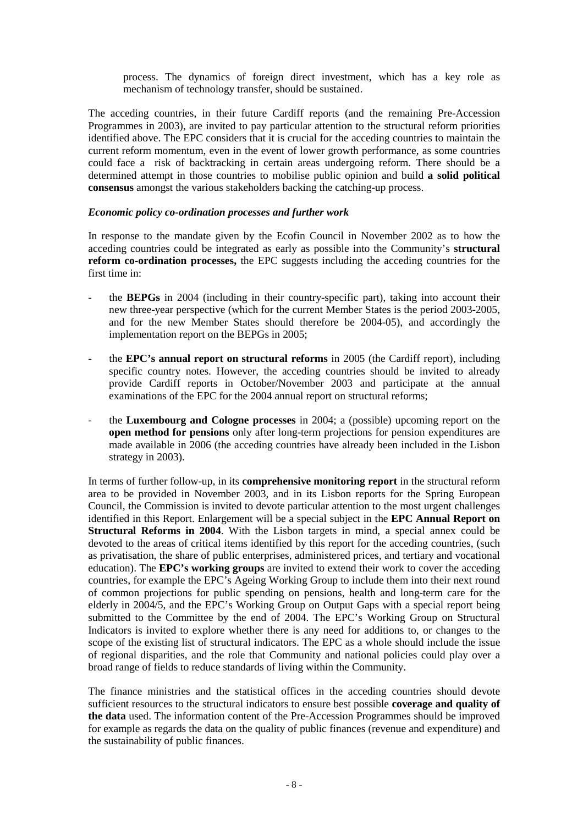process. The dynamics of foreign direct investment, which has a key role as mechanism of technology transfer, should be sustained.

The acceding countries, in their future Cardiff reports (and the remaining Pre-Accession Programmes in 2003), are invited to pay particular attention to the structural reform priorities identified above. The EPC considers that it is crucial for the acceding countries to maintain the current reform momentum, even in the event of lower growth performance, as some countries could face a risk of backtracking in certain areas undergoing reform. There should be a determined attempt in those countries to mobilise public opinion and build **a solid political consensus** amongst the various stakeholders backing the catching-up process.

#### *Economic policy co-ordination processes and further work*

In response to the mandate given by the Ecofin Council in November 2002 as to how the acceding countries could be integrated as early as possible into the Community's **structural reform co-ordination processes,** the EPC suggests including the acceding countries for the first time in:

- the **BEPGs** in 2004 (including in their country-specific part), taking into account their new three-year perspective (which for the current Member States is the period 2003-2005, and for the new Member States should therefore be 2004-05), and accordingly the implementation report on the BEPGs in 2005;
- the **EPC's annual report on structural reforms** in 2005 (the Cardiff report), including specific country notes. However, the acceding countries should be invited to already provide Cardiff reports in October/November 2003 and participate at the annual examinations of the EPC for the 2004 annual report on structural reforms;
- the **Luxembourg and Cologne processes** in 2004; a (possible) upcoming report on the **open method for pensions** only after long-term projections for pension expenditures are made available in 2006 (the acceding countries have already been included in the Lisbon strategy in 2003).

In terms of further follow-up, in its **comprehensive monitoring report** in the structural reform area to be provided in November 2003, and in its Lisbon reports for the Spring European Council, the Commission is invited to devote particular attention to the most urgent challenges identified in this Report. Enlargement will be a special subject in the **EPC Annual Report on Structural Reforms in 2004**. With the Lisbon targets in mind, a special annex could be devoted to the areas of critical items identified by this report for the acceding countries, (such as privatisation, the share of public enterprises, administered prices, and tertiary and vocational education). The **EPC's working groups** are invited to extend their work to cover the acceding countries, for example the EPC's Ageing Working Group to include them into their next round of common projections for public spending on pensions, health and long-term care for the elderly in 2004/5, and the EPC's Working Group on Output Gaps with a special report being submitted to the Committee by the end of 2004. The EPC's Working Group on Structural Indicators is invited to explore whether there is any need for additions to, or changes to the scope of the existing list of structural indicators. The EPC as a whole should include the issue of regional disparities, and the role that Community and national policies could play over a broad range of fields to reduce standards of living within the Community.

The finance ministries and the statistical offices in the acceding countries should devote sufficient resources to the structural indicators to ensure best possible **coverage and quality of the data** used. The information content of the Pre-Accession Programmes should be improved for example as regards the data on the quality of public finances (revenue and expenditure) and the sustainability of public finances.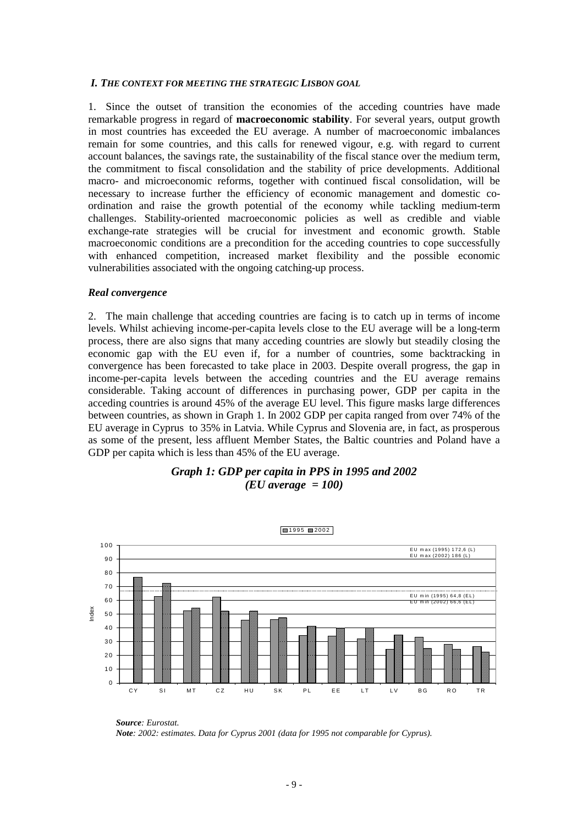#### *I. THE CONTEXT FOR MEETING THE STRATEGIC LISBON GOAL*

1. Since the outset of transition the economies of the acceding countries have made remarkable progress in regard of **macroeconomic stability**. For several years, output growth in most countries has exceeded the EU average. A number of macroeconomic imbalances remain for some countries, and this calls for renewed vigour, e.g. with regard to current account balances, the savings rate, the sustainability of the fiscal stance over the medium term, the commitment to fiscal consolidation and the stability of price developments. Additional macro- and microeconomic reforms, together with continued fiscal consolidation, will be necessary to increase further the efficiency of economic management and domestic coordination and raise the growth potential of the economy while tackling medium-term challenges. Stability-oriented macroeconomic policies as well as credible and viable exchange-rate strategies will be crucial for investment and economic growth. Stable macroeconomic conditions are a precondition for the acceding countries to cope successfully with enhanced competition, increased market flexibility and the possible economic vulnerabilities associated with the ongoing catching-up process.

#### *Real convergence*

2. The main challenge that acceding countries are facing is to catch up in terms of income levels. Whilst achieving income-per-capita levels close to the EU average will be a long-term process, there are also signs that many acceding countries are slowly but steadily closing the economic gap with the EU even if, for a number of countries, some backtracking in convergence has been forecasted to take place in 2003. Despite overall progress, the gap in income-per-capita levels between the acceding countries and the EU average remains considerable. Taking account of differences in purchasing power, GDP per capita in the acceding countries is around 45% of the average EU level. This figure masks large differences between countries, as shown in Graph 1. In 2002 GDP per capita ranged from over 74% of the EU average in Cyprus to 35% in Latvia. While Cyprus and Slovenia are, in fact, as prosperous as some of the present, less affluent Member States, the Baltic countries and Poland have a GDP per capita which is less than 45% of the EU average.





*Source: Eurostat. Note: 2002: estimates. Data for Cyprus 2001 (data for 1995 not comparable for Cyprus).*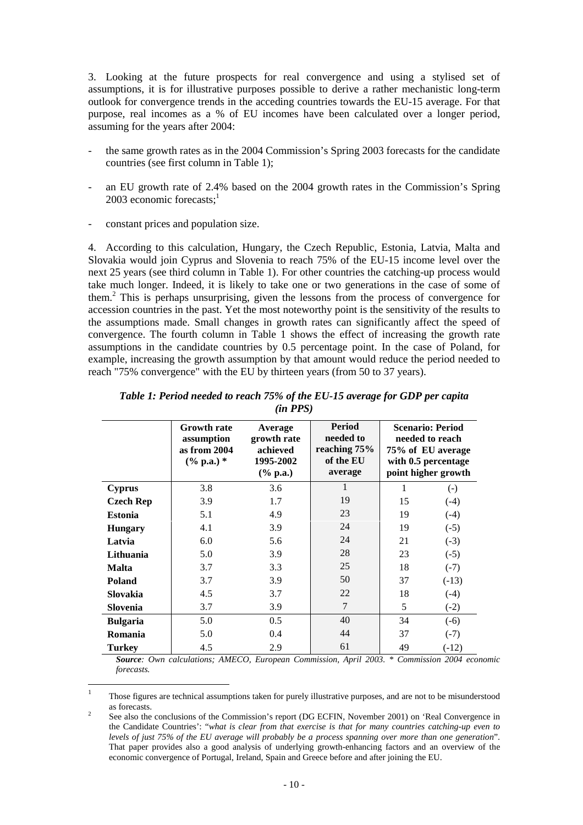3. Looking at the future prospects for real convergence and using a stylised set of assumptions, it is for illustrative purposes possible to derive a rather mechanistic long-term outlook for convergence trends in the acceding countries towards the EU-15 average. For that purpose, real incomes as a % of EU incomes have been calculated over a longer period, assuming for the years after 2004:

- the same growth rates as in the 2004 Commission's Spring 2003 forecasts for the candidate countries (see first column in Table 1);
- an EU growth rate of 2.4% based on the 2004 growth rates in the Commission's Spring 2003 economic forecasts: $1$
- constant prices and population size.

4. According to this calculation, Hungary, the Czech Republic, Estonia, Latvia, Malta and Slovakia would join Cyprus and Slovenia to reach 75% of the EU-15 income level over the next 25 years (see third column in Table 1). For other countries the catching-up process would take much longer. Indeed, it is likely to take one or two generations in the case of some of them.2 This is perhaps unsurprising, given the lessons from the process of convergence for accession countries in the past. Yet the most noteworthy point is the sensitivity of the results to the assumptions made. Small changes in growth rates can significantly affect the speed of convergence. The fourth column in Table 1 shows the effect of increasing the growth rate assumptions in the candidate countries by 0.5 percentage point. In the case of Poland, for example, increasing the growth assumption by that amount would reduce the period needed to reach "75% convergence" with the EU by thirteen years (from 50 to 37 years).

|                  | <b>Growth rate</b><br>assumption<br>as from 2004<br>$(\%$ p.a.) * | Average<br>growth rate<br>achieved<br>1995-2002<br>$(\%$ p.a.) | <b>Period</b><br>needed to<br>reaching 75%<br>of the EU<br>average |    | <b>Scenario: Period</b><br>needed to reach<br>75% of EU average<br>with 0.5 percentage<br>point higher growth |
|------------------|-------------------------------------------------------------------|----------------------------------------------------------------|--------------------------------------------------------------------|----|---------------------------------------------------------------------------------------------------------------|
| <b>Cyprus</b>    | 3.8                                                               | 3.6                                                            | 1                                                                  | 1  | $(\text{-})$                                                                                                  |
| <b>Czech Rep</b> | 3.9                                                               | 1.7                                                            | 19                                                                 | 15 | $(-4)$                                                                                                        |
| <b>Estonia</b>   | 5.1                                                               | 4.9                                                            | 23                                                                 | 19 | $(-4)$                                                                                                        |
| <b>Hungary</b>   | 4.1                                                               | 3.9                                                            | 24                                                                 | 19 | $(-5)$                                                                                                        |
| Latvia           | 6.0                                                               | 5.6                                                            | 24                                                                 | 21 | $(-3)$                                                                                                        |
| Lithuania        | 5.0                                                               | 3.9                                                            | 28                                                                 | 23 | $(-5)$                                                                                                        |
| <b>Malta</b>     | 3.7                                                               | 3.3                                                            | 25                                                                 | 18 | $(-7)$                                                                                                        |
| <b>Poland</b>    | 3.7                                                               | 3.9                                                            | 50                                                                 | 37 | $(-13)$                                                                                                       |
| <b>Slovakia</b>  | 4.5                                                               | 3.7                                                            | 22                                                                 | 18 | $(-4)$                                                                                                        |
| <b>Slovenia</b>  | 3.7                                                               | 3.9                                                            | 7                                                                  | 5  | $(-2)$                                                                                                        |
| <b>Bulgaria</b>  | 5.0                                                               | 0.5                                                            | 40                                                                 | 34 | $(-6)$                                                                                                        |
| Romania          | 5.0                                                               | 0.4                                                            | 44                                                                 | 37 | $(-7)$                                                                                                        |
| <b>Turkey</b>    | 4.5                                                               | 2.9                                                            | 61                                                                 | 49 | $(-12)$                                                                                                       |

*Table 1: Period needed to reach 75% of the EU-15 average for GDP per capita (in PPS)*

*Source: Own calculations; AMECO, European Commission, April 2003. \* Commission 2004 economic forecasts.*

 $\mathbf{1}$ <sup>1</sup> Those figures are technical assumptions taken for purely illustrative purposes, and are not to be misunderstood  $\frac{1}{2}$  as forecasts.

See also the conclusions of the Commission's report (DG ECFIN, November 2001) on 'Real Convergence in the Candidate Countries': "*what is clear from that exercise is that for many countries catching-up even to levels of just 75% of the EU average will probably be a process spanning over more than one generation*". That paper provides also a good analysis of underlying growth-enhancing factors and an overview of the economic convergence of Portugal, Ireland, Spain and Greece before and after joining the EU.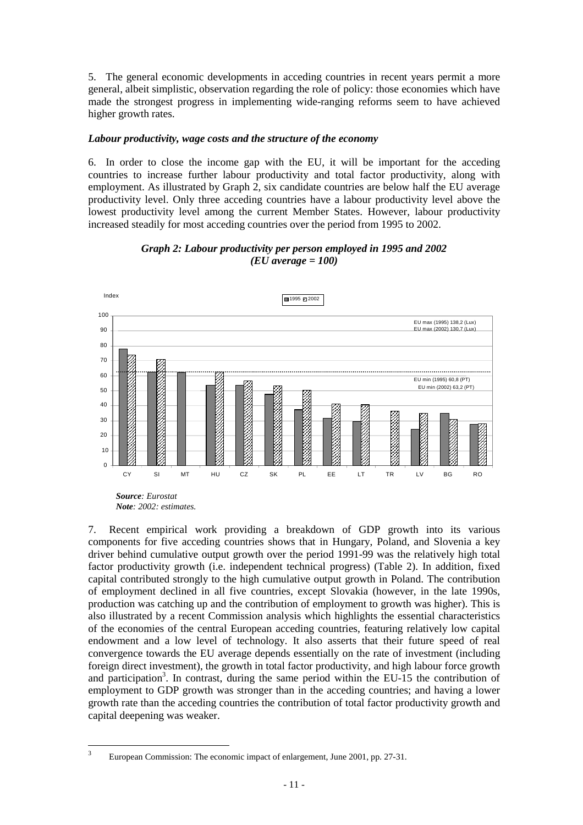5. The general economic developments in acceding countries in recent years permit a more general, albeit simplistic, observation regarding the role of policy: those economies which have made the strongest progress in implementing wide-ranging reforms seem to have achieved higher growth rates.

#### *Labour productivity, wage costs and the structure of the economy*

6. In order to close the income gap with the EU, it will be important for the acceding countries to increase further labour productivity and total factor productivity, along with employment. As illustrated by Graph 2, six candidate countries are below half the EU average productivity level. Only three acceding countries have a labour productivity level above the lowest productivity level among the current Member States. However, labour productivity increased steadily for most acceding countries over the period from 1995 to 2002.





7. Recent empirical work providing a breakdown of GDP growth into its various components for five acceding countries shows that in Hungary, Poland, and Slovenia a key driver behind cumulative output growth over the period 1991-99 was the relatively high total factor productivity growth (i.e. independent technical progress) (Table 2). In addition, fixed capital contributed strongly to the high cumulative output growth in Poland. The contribution of employment declined in all five countries, except Slovakia (however, in the late 1990s, production was catching up and the contribution of employment to growth was higher). This is also illustrated by a recent Commission analysis which highlights the essential characteristics of the economies of the central European acceding countries, featuring relatively low capital endowment and a low level of technology. It also asserts that their future speed of real convergence towards the EU average depends essentially on the rate of investment (including foreign direct investment), the growth in total factor productivity, and high labour force growth and participation<sup>3</sup>. In contrast, during the same period within the EU-15 the contribution of employment to GDP growth was stronger than in the acceding countries; and having a lower growth rate than the acceding countries the contribution of total factor productivity growth and capital deepening was weaker.

 $\overline{\mathbf{3}}$ European Commission: The economic impact of enlargement, June 2001, pp. 27-31.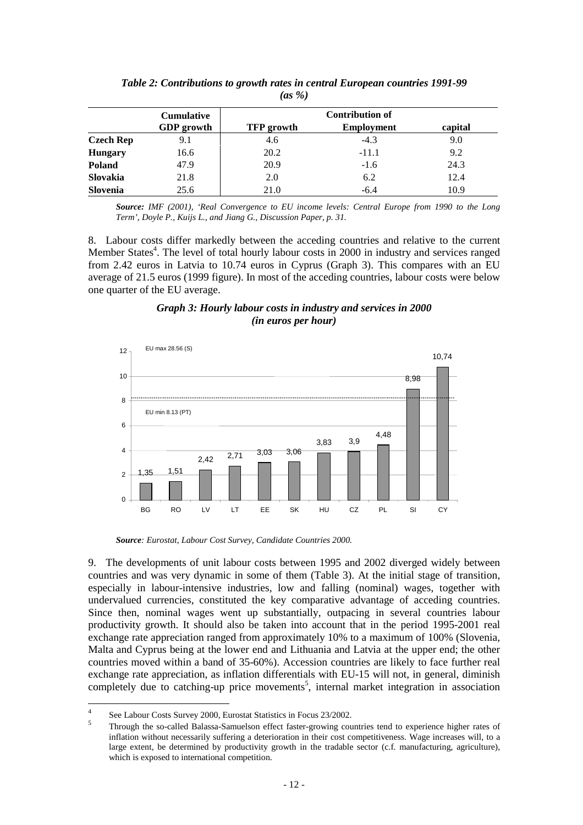|                  | <b>Cumulative</b> |                   | <b>Contribution of</b> |         |
|------------------|-------------------|-------------------|------------------------|---------|
|                  | <b>GDP</b> growth | <b>TFP</b> growth | <b>Employment</b>      | capital |
| <b>Czech Rep</b> | 9.1               | 4.6               | $-4.3$                 | 9.0     |
| <b>Hungary</b>   | 16.6              | 20.2              | $-11.1$                | 9.2     |
| Poland           | 47.9              | 20.9              | $-1.6$                 | 24.3    |
| Slovakia         | 21.8              | 2.0               | 6.2                    | 12.4    |
| Slovenia         | 25.6              | 21.0              | $-6.4$                 | 10.9    |

*Table 2: Contributions to growth rates in central European countries 1991-99 (as %)*

*Source: IMF (2001), 'Real Convergence to EU income levels: Central Europe from 1990 to the Long Term', Doyle P., Kuijs L., and Jiang G., Discussion Paper, p. 31.*

8. Labour costs differ markedly between the acceding countries and relative to the current Member States<sup>4</sup>. The level of total hourly labour costs in 2000 in industry and services ranged from 2.42 euros in Latvia to 10.74 euros in Cyprus (Graph 3). This compares with an EU average of 21.5 euros (1999 figure). In most of the acceding countries, labour costs were below one quarter of the EU average.





*Source: Eurostat, Labour Cost Survey, Candidate Countries 2000.*

9. The developments of unit labour costs between 1995 and 2002 diverged widely between countries and was very dynamic in some of them (Table 3). At the initial stage of transition, especially in labour-intensive industries, low and falling (nominal) wages, together with undervalued currencies, constituted the key comparative advantage of acceding countries. Since then, nominal wages went up substantially, outpacing in several countries labour productivity growth. It should also be taken into account that in the period 1995-2001 real exchange rate appreciation ranged from approximately 10% to a maximum of 100% (Slovenia, Malta and Cyprus being at the lower end and Lithuania and Latvia at the upper end; the other countries moved within a band of 35-60%). Accession countries are likely to face further real exchange rate appreciation, as inflation differentials with EU-15 will not, in general, diminish completely due to catching-up price movements<sup>5</sup>, internal market integration in association

 $\overline{4}$ 

<sup>&</sup>lt;sup>4</sup> See Labour Costs Survey 2000, Eurostat Statistics in Focus 23/2002.<br><sup>5</sup> Through the so-called Balassa-Samuelson effect faster-growing countries tend to experience higher rates of inflation without necessarily suffering a deterioration in their cost competitiveness. Wage increases will, to a large extent, be determined by productivity growth in the tradable sector (c.f. manufacturing, agriculture), which is exposed to international competition.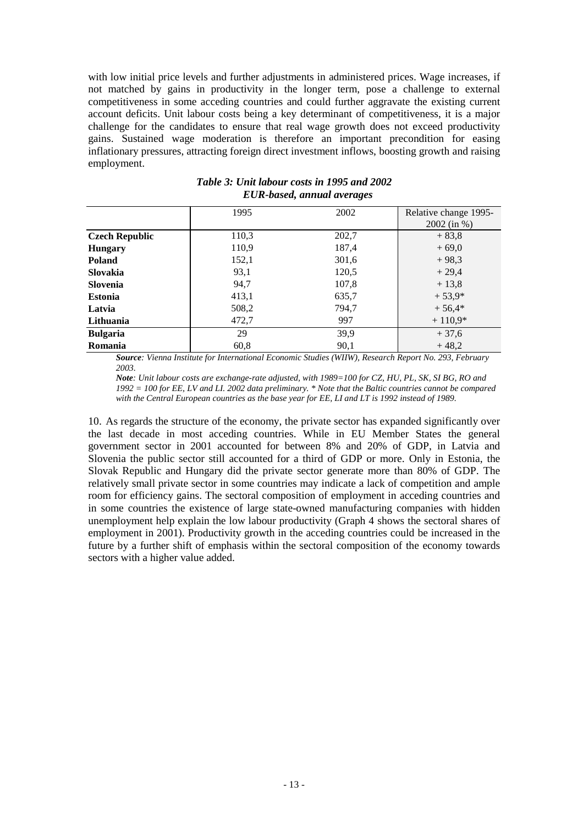with low initial price levels and further adjustments in administered prices. Wage increases, if not matched by gains in productivity in the longer term, pose a challenge to external competitiveness in some acceding countries and could further aggravate the existing current account deficits. Unit labour costs being a key determinant of competitiveness, it is a major challenge for the candidates to ensure that real wage growth does not exceed productivity gains. Sustained wage moderation is therefore an important precondition for easing inflationary pressures, attracting foreign direct investment inflows, boosting growth and raising employment.

|                       | 1995  | 2002  | Relative change 1995-<br>$2002$ (in %) |
|-----------------------|-------|-------|----------------------------------------|
| <b>Czech Republic</b> | 110,3 | 202,7 | $+83,8$                                |
| <b>Hungary</b>        | 110,9 | 187,4 | $+69.0$                                |
| <b>Poland</b>         | 152,1 | 301,6 | $+98.3$                                |
| <b>Slovakia</b>       | 93,1  | 120,5 | $+29.4$                                |
| Slovenia              | 94,7  | 107,8 | $+13.8$                                |
| <b>Estonia</b>        | 413,1 | 635,7 | $+53,9*$                               |
| Latvia                | 508,2 | 794,7 | $+56,4*$                               |
| Lithuania             | 472,7 | 997   | $+110,9*$                              |
| <b>Bulgaria</b>       | 29    | 39,9  | $+37,6$                                |
| <b>Romania</b>        | 60.8  | 90,1  | $+48,2$                                |

*Table 3: Unit labour costs in 1995 and 2002 EUR-based, annual averages*

*Source: Vienna Institute for International Economic Studies (WIIW), Research Report No. 293, February 2003.*

*Note: Unit labour costs are exchange-rate adjusted, with 1989=100 for CZ, HU, PL, SK, SI BG, RO and 1992 = 100 for EE, LV and LI. 2002 data preliminary. \* Note that the Baltic countries cannot be compared with the Central European countries as the base year for EE, LI and LT is 1992 instead of 1989.*

10. As regards the structure of the economy, the private sector has expanded significantly over the last decade in most acceding countries. While in EU Member States the general government sector in 2001 accounted for between 8% and 20% of GDP, in Latvia and Slovenia the public sector still accounted for a third of GDP or more. Only in Estonia, the Slovak Republic and Hungary did the private sector generate more than 80% of GDP. The relatively small private sector in some countries may indicate a lack of competition and ample room for efficiency gains. The sectoral composition of employment in acceding countries and in some countries the existence of large state-owned manufacturing companies with hidden unemployment help explain the low labour productivity (Graph 4 shows the sectoral shares of employment in 2001). Productivity growth in the acceding countries could be increased in the future by a further shift of emphasis within the sectoral composition of the economy towards sectors with a higher value added.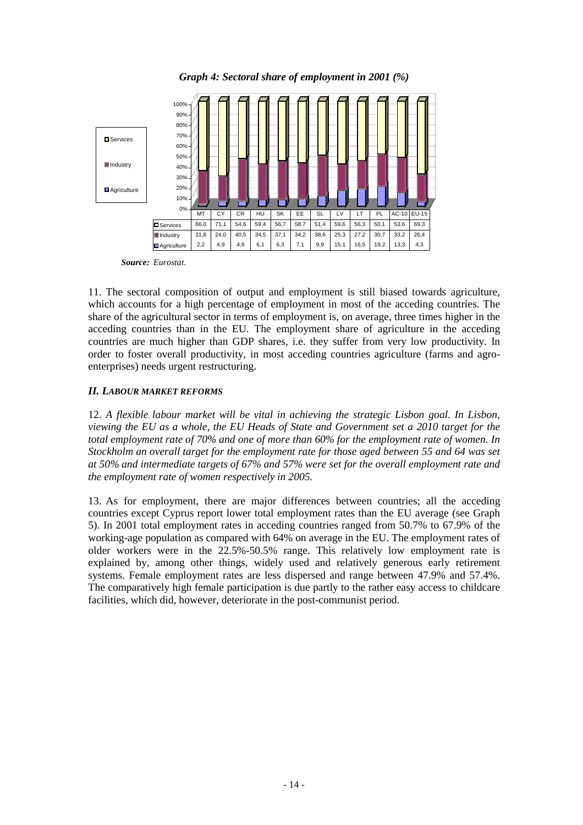

*Graph 4: Sectoral share of employment in 2001 (%)*

*Source: Eurostat.*

11. The sectoral composition of output and employment is still biased towards agriculture, which accounts for a high percentage of employment in most of the acceding countries. The share of the agricultural sector in terms of employment is, on average, three times higher in the acceding countries than in the EU. The employment share of agriculture in the acceding countries are much higher than GDP shares, i.e. they suffer from very low productivity. In order to foster overall productivity, in most acceding countries agriculture (farms and agroenterprises) needs urgent restructuring.

# *II. LABOUR MARKET REFORMS*

12. *A flexible labour market will be vital in achieving the strategic Lisbon goal. In Lisbon, viewing the EU as a whole, the EU Heads of State and Government set a 2010 target for the total employment rate of 70% and one of more than 60% for the employment rate of women. In Stockholm an overall target for the employment rate for those aged between 55 and 64 was set at 50% and intermediate targets of 67% and 57% were set for the overall employment rate and the employment rate of women respectively in 2005.*

13. As for employment, there are major differences between countries; all the acceding countries except Cyprus report lower total employment rates than the EU average (see Graph 5). In 2001 total employment rates in acceding countries ranged from 50.7% to 67.9% of the working-age population as compared with 64% on average in the EU. The employment rates of older workers were in the 22.5%-50.5% range. This relatively low employment rate is explained by, among other things, widely used and relatively generous early retirement systems. Female employment rates are less dispersed and range between 47.9% and 57.4%. The comparatively high female participation is due partly to the rather easy access to childcare facilities, which did, however, deteriorate in the post-communist period.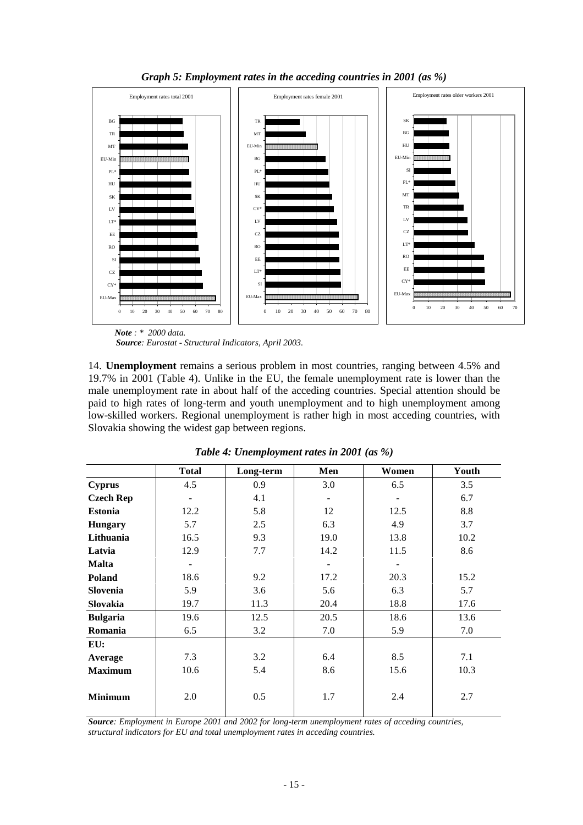

*Graph 5: Employment rates in the acceding countries in 2001 (as %)*

 *Note : \* 2000 data.*

*Source: Eurostat - Structural Indicators, April 2003.*

14. **Unemployment** remains a serious problem in most countries, ranging between 4.5% and 19.7% in 2001 (Table 4). Unlike in the EU, the female unemployment rate is lower than the male unemployment rate in about half of the acceding countries. Special attention should be paid to high rates of long-term and youth unemployment and to high unemployment among low-skilled workers. Regional unemployment is rather high in most acceding countries, with Slovakia showing the widest gap between regions.

|                  | <b>Total</b> | Long-term | Men  | Women                    | Youth |
|------------------|--------------|-----------|------|--------------------------|-------|
| <b>Cyprus</b>    | 4.5          | 0.9       | 3.0  | 6.5                      | 3.5   |
| <b>Czech Rep</b> |              | 4.1       |      | $\overline{\phantom{a}}$ | 6.7   |
| <b>Estonia</b>   | 12.2         | 5.8       | 12   | 12.5                     | 8.8   |
| <b>Hungary</b>   | 5.7          | 2.5       | 6.3  | 4.9                      | 3.7   |
| Lithuania        | 16.5         | 9.3       | 19.0 | 13.8                     | 10.2  |
| Latvia           | 12.9         | 7.7       | 14.2 | 11.5                     | 8.6   |
| <b>Malta</b>     |              |           |      |                          |       |
| <b>Poland</b>    | 18.6         | 9.2       | 17.2 | 20.3                     | 15.2  |
| <b>Slovenia</b>  | 5.9          | 3.6       | 5.6  | 6.3                      | 5.7   |
| Slovakia         | 19.7         | 11.3      | 20.4 | 18.8                     | 17.6  |
| <b>Bulgaria</b>  | 19.6         | 12.5      | 20.5 | 18.6                     | 13.6  |
| Romania          | 6.5          | 3.2       | 7.0  | 5.9                      | 7.0   |
| EU:              |              |           |      |                          |       |
| Average          | 7.3          | 3.2       | 6.4  | 8.5                      | 7.1   |
| <b>Maximum</b>   | 10.6         | 5.4       | 8.6  | 15.6                     | 10.3  |
| <b>Minimum</b>   | 2.0          | 0.5       | 1.7  | 2.4                      | 2.7   |

*Table 4: Unemployment rates in 2001 (as %)*

*Source: Employment in Europe 2001 and 2002 for long-term unemployment rates of acceding countries, structural indicators for EU and total unemployment rates in acceding countries.*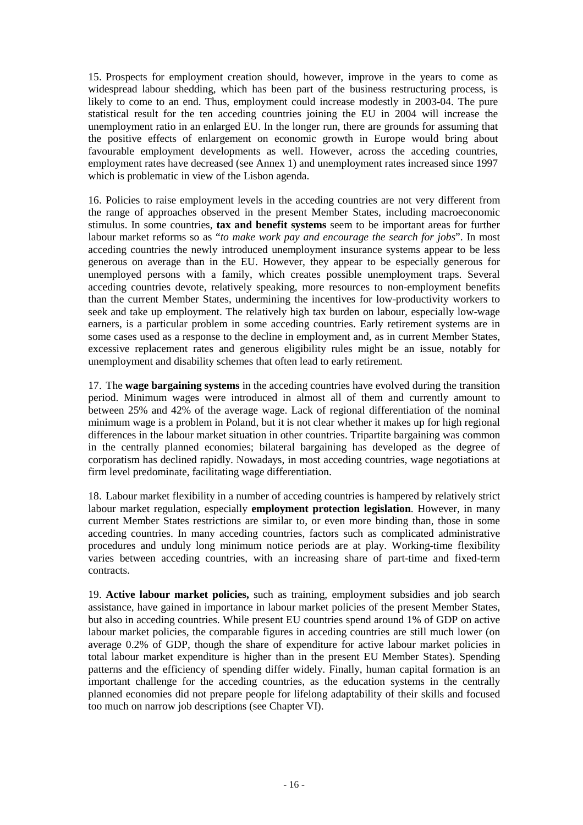15. Prospects for employment creation should, however, improve in the years to come as widespread labour shedding, which has been part of the business restructuring process, is likely to come to an end. Thus, employment could increase modestly in 2003-04. The pure statistical result for the ten acceding countries joining the EU in 2004 will increase the unemployment ratio in an enlarged EU. In the longer run, there are grounds for assuming that the positive effects of enlargement on economic growth in Europe would bring about favourable employment developments as well. However, across the acceding countries, employment rates have decreased (see Annex 1) and unemployment rates increased since 1997 which is problematic in view of the Lisbon agenda.

16. Policies to raise employment levels in the acceding countries are not very different from the range of approaches observed in the present Member States, including macroeconomic stimulus. In some countries, **tax and benefit systems** seem to be important areas for further labour market reforms so as "*to make work pay and encourage the search for jobs*". In most acceding countries the newly introduced unemployment insurance systems appear to be less generous on average than in the EU. However, they appear to be especially generous for unemployed persons with a family, which creates possible unemployment traps. Several acceding countries devote, relatively speaking, more resources to non-employment benefits than the current Member States, undermining the incentives for low-productivity workers to seek and take up employment. The relatively high tax burden on labour, especially low-wage earners, is a particular problem in some acceding countries. Early retirement systems are in some cases used as a response to the decline in employment and, as in current Member States, excessive replacement rates and generous eligibility rules might be an issue, notably for unemployment and disability schemes that often lead to early retirement.

17. The **wage bargaining systems** in the acceding countries have evolved during the transition period. Minimum wages were introduced in almost all of them and currently amount to between 25% and 42% of the average wage. Lack of regional differentiation of the nominal minimum wage is a problem in Poland, but it is not clear whether it makes up for high regional differences in the labour market situation in other countries. Tripartite bargaining was common in the centrally planned economies; bilateral bargaining has developed as the degree of corporatism has declined rapidly. Nowadays, in most acceding countries, wage negotiations at firm level predominate, facilitating wage differentiation.

18. Labour market flexibility in a number of acceding countries is hampered by relatively strict labour market regulation, especially **employment protection legislation**. However, in many current Member States restrictions are similar to, or even more binding than, those in some acceding countries. In many acceding countries, factors such as complicated administrative procedures and unduly long minimum notice periods are at play. Working-time flexibility varies between acceding countries, with an increasing share of part-time and fixed-term contracts.

19. **Active labour market policies,** such as training, employment subsidies and job search assistance, have gained in importance in labour market policies of the present Member States, but also in acceding countries. While present EU countries spend around 1% of GDP on active labour market policies, the comparable figures in acceding countries are still much lower (on average 0.2% of GDP, though the share of expenditure for active labour market policies in total labour market expenditure is higher than in the present EU Member States). Spending patterns and the efficiency of spending differ widely. Finally, human capital formation is an important challenge for the acceding countries, as the education systems in the centrally planned economies did not prepare people for lifelong adaptability of their skills and focused too much on narrow job descriptions (see Chapter VI).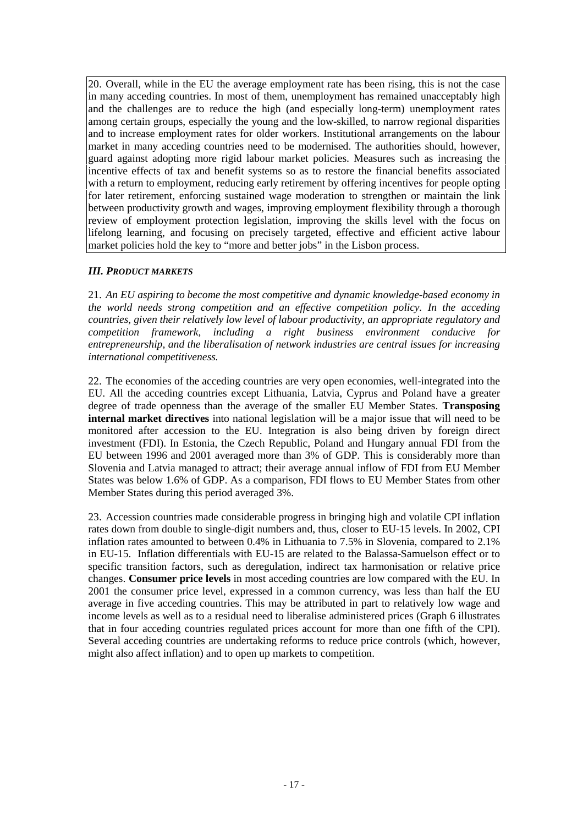20. Overall, while in the EU the average employment rate has been rising, this is not the case in many acceding countries. In most of them, unemployment has remained unacceptably high and the challenges are to reduce the high (and especially long-term) unemployment rates among certain groups, especially the young and the low-skilled, to narrow regional disparities and to increase employment rates for older workers. Institutional arrangements on the labour market in many acceding countries need to be modernised. The authorities should, however, guard against adopting more rigid labour market policies. Measures such as increasing the incentive effects of tax and benefit systems so as to restore the financial benefits associated with a return to employment, reducing early retirement by offering incentives for people opting for later retirement, enforcing sustained wage moderation to strengthen or maintain the link between productivity growth and wages, improving employment flexibility through a thorough review of employment protection legislation, improving the skills level with the focus on lifelong learning, and focusing on precisely targeted, effective and efficient active labour market policies hold the key to "more and better jobs" in the Lisbon process.

#### *III. PRODUCT MARKETS*

21. *An EU aspiring to become the most competitive and dynamic knowledge-based economy in the world needs strong competition and an effective competition policy. In the acceding countries, given their relatively low level of labour productivity, an appropriate regulatory and competition framework, including a right business environment conducive for entrepreneurship, and the liberalisation of network industries are central issues for increasing international competitiveness.*

22. The economies of the acceding countries are very open economies, well-integrated into the EU. All the acceding countries except Lithuania, Latvia, Cyprus and Poland have a greater degree of trade openness than the average of the smaller EU Member States. **Transposing internal market directives** into national legislation will be a major issue that will need to be monitored after accession to the EU. Integration is also being driven by foreign direct investment (FDI). In Estonia, the Czech Republic, Poland and Hungary annual FDI from the EU between 1996 and 2001 averaged more than 3% of GDP. This is considerably more than Slovenia and Latvia managed to attract; their average annual inflow of FDI from EU Member States was below 1.6% of GDP. As a comparison, FDI flows to EU Member States from other Member States during this period averaged 3%.

23. Accession countries made considerable progress in bringing high and volatile CPI inflation rates down from double to single-digit numbers and, thus, closer to EU-15 levels. In 2002, CPI inflation rates amounted to between 0.4% in Lithuania to 7.5% in Slovenia, compared to 2.1% in EU-15. Inflation differentials with EU-15 are related to the Balassa-Samuelson effect or to specific transition factors, such as deregulation, indirect tax harmonisation or relative price changes. **Consumer price levels** in most acceding countries are low compared with the EU. In 2001 the consumer price level, expressed in a common currency, was less than half the EU average in five acceding countries. This may be attributed in part to relatively low wage and income levels as well as to a residual need to liberalise administered prices (Graph 6 illustrates that in four acceding countries regulated prices account for more than one fifth of the CPI). Several acceding countries are undertaking reforms to reduce price controls (which, however, might also affect inflation) and to open up markets to competition.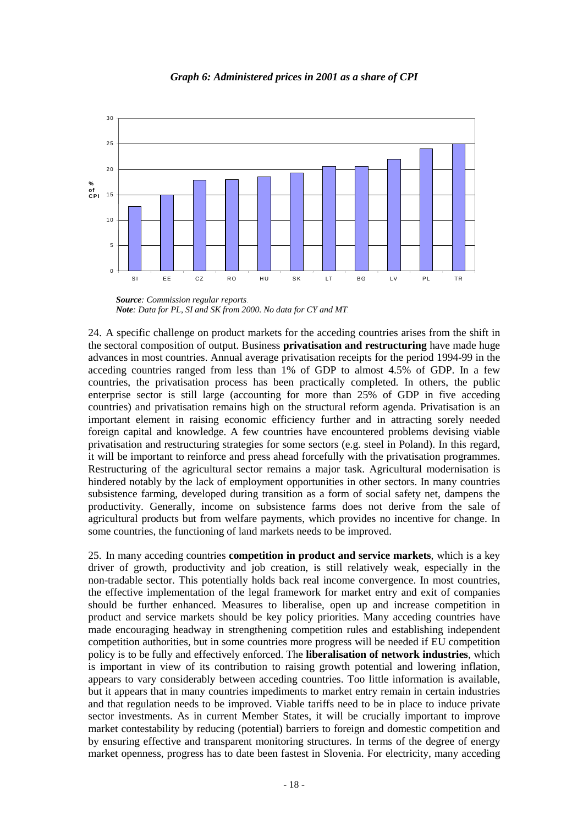

*Graph 6: Administered prices in 2001 as a share of CPI*

24. A specific challenge on product markets for the acceding countries arises from the shift in the sectoral composition of output. Business **privatisation and restructuring** have made huge advances in most countries. Annual average privatisation receipts for the period 1994-99 in the acceding countries ranged from less than 1% of GDP to almost 4.5% of GDP. In a few countries, the privatisation process has been practically completed. In others, the public enterprise sector is still large (accounting for more than 25% of GDP in five acceding countries) and privatisation remains high on the structural reform agenda. Privatisation is an important element in raising economic efficiency further and in attracting sorely needed foreign capital and knowledge. A few countries have encountered problems devising viable privatisation and restructuring strategies for some sectors (e.g. steel in Poland). In this regard, it will be important to reinforce and press ahead forcefully with the privatisation programmes. Restructuring of the agricultural sector remains a major task. Agricultural modernisation is hindered notably by the lack of employment opportunities in other sectors. In many countries subsistence farming, developed during transition as a form of social safety net, dampens the productivity. Generally, income on subsistence farms does not derive from the sale of agricultural products but from welfare payments, which provides no incentive for change. In some countries, the functioning of land markets needs to be improved.

25. In many acceding countries **competition in product and service markets**, which is a key driver of growth, productivity and job creation, is still relatively weak, especially in the non-tradable sector. This potentially holds back real income convergence. In most countries, the effective implementation of the legal framework for market entry and exit of companies should be further enhanced. Measures to liberalise, open up and increase competition in product and service markets should be key policy priorities. Many acceding countries have made encouraging headway in strengthening competition rules and establishing independent competition authorities, but in some countries more progress will be needed if EU competition policy is to be fully and effectively enforced. The **liberalisation of network industries**, which is important in view of its contribution to raising growth potential and lowering inflation, appears to vary considerably between acceding countries. Too little information is available, but it appears that in many countries impediments to market entry remain in certain industries and that regulation needs to be improved. Viable tariffs need to be in place to induce private sector investments. As in current Member States, it will be crucially important to improve market contestability by reducing (potential) barriers to foreign and domestic competition and by ensuring effective and transparent monitoring structures. In terms of the degree of energy market openness, progress has to date been fastest in Slovenia. For electricity, many acceding

*Source: Commission regular reports*. *Note: Data for PL, SI and SK from 2000. No data for CY and MT*.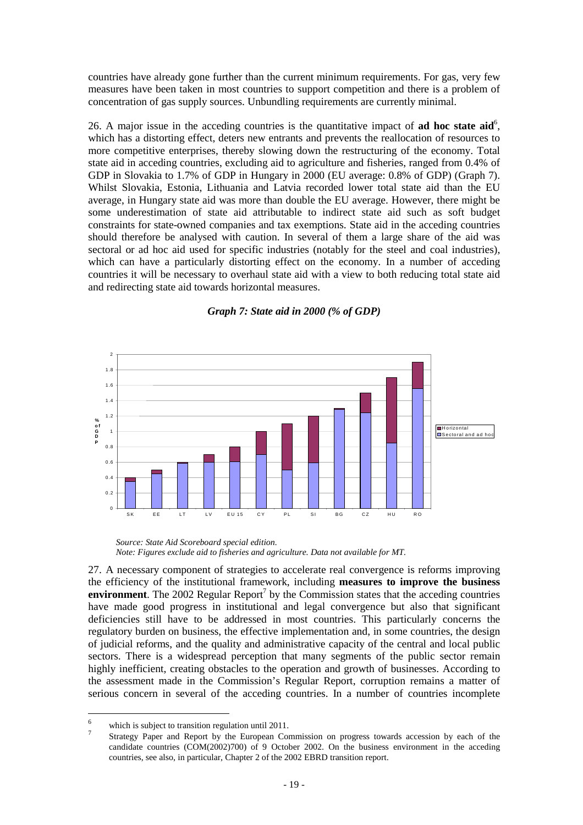countries have already gone further than the current minimum requirements. For gas, very few measures have been taken in most countries to support competition and there is a problem of concentration of gas supply sources. Unbundling requirements are currently minimal.

26. A major issue in the acceding countries is the quantitative impact of **ad hoc state aid**<sup>6</sup>, which has a distorting effect, deters new entrants and prevents the reallocation of resources to more competitive enterprises, thereby slowing down the restructuring of the economy. Total state aid in acceding countries, excluding aid to agriculture and fisheries, ranged from 0.4% of GDP in Slovakia to 1.7% of GDP in Hungary in 2000 (EU average: 0.8% of GDP) (Graph 7). Whilst Slovakia, Estonia, Lithuania and Latvia recorded lower total state aid than the EU average, in Hungary state aid was more than double the EU average. However, there might be some underestimation of state aid attributable to indirect state aid such as soft budget constraints for state-owned companies and tax exemptions. State aid in the acceding countries should therefore be analysed with caution. In several of them a large share of the aid was sectoral or ad hoc aid used for specific industries (notably for the steel and coal industries), which can have a particularly distorting effect on the economy. In a number of acceding countries it will be necessary to overhaul state aid with a view to both reducing total state aid and redirecting state aid towards horizontal measures.



*Graph 7: State aid in 2000 (% of GDP)*

27. A necessary component of strategies to accelerate real convergence is reforms improving the efficiency of the institutional framework, including **measures to improve the business environment**. The 2002 Regular Report<sup>7</sup> by the Commission states that the acceding countries have made good progress in institutional and legal convergence but also that significant deficiencies still have to be addressed in most countries. This particularly concerns the regulatory burden on business, the effective implementation and, in some countries, the design of judicial reforms, and the quality and administrative capacity of the central and local public sectors. There is a widespread perception that many segments of the public sector remain highly inefficient, creating obstacles to the operation and growth of businesses. According to the assessment made in the Commission's Regular Report, corruption remains a matter of serious concern in several of the acceding countries. In a number of countries incomplete

*Source: State Aid Scoreboard special edition. Note: Figures exclude aid to fisheries and agriculture. Data not available for MT.*

<sup>6</sup> 

<sup>&</sup>lt;sup>6</sup> which is subject to transition regulation until 2011.<br><sup>7</sup> Strategy Paper and Report by the European Commission on progress towards accession by each of the candidate countries (COM(2002)700) of 9 October 2002. On the business environment in the acceding countries, see also, in particular, Chapter 2 of the 2002 EBRD transition report.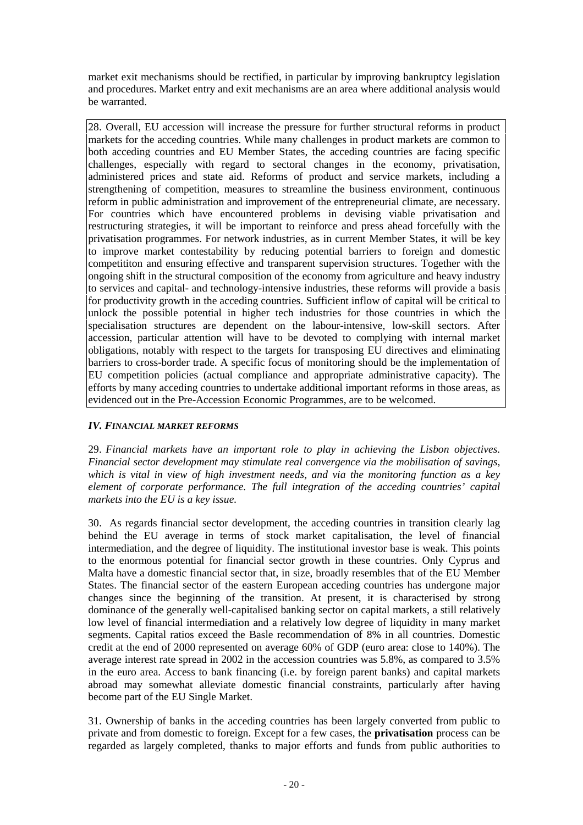market exit mechanisms should be rectified, in particular by improving bankruptcy legislation and procedures. Market entry and exit mechanisms are an area where additional analysis would be warranted.

28. Overall, EU accession will increase the pressure for further structural reforms in product markets for the acceding countries. While many challenges in product markets are common to both acceding countries and EU Member States, the acceding countries are facing specific challenges, especially with regard to sectoral changes in the economy, privatisation, administered prices and state aid. Reforms of product and service markets, including a strengthening of competition, measures to streamline the business environment, continuous reform in public administration and improvement of the entrepreneurial climate, are necessary. For countries which have encountered problems in devising viable privatisation and restructuring strategies, it will be important to reinforce and press ahead forcefully with the privatisation programmes. For network industries, as in current Member States, it will be key to improve market contestability by reducing potential barriers to foreign and domestic competititon and ensuring effective and transparent supervision structures. Together with the ongoing shift in the structural composition of the economy from agriculture and heavy industry to services and capital- and technology-intensive industries, these reforms will provide a basis for productivity growth in the acceding countries. Sufficient inflow of capital will be critical to unlock the possible potential in higher tech industries for those countries in which the specialisation structures are dependent on the labour-intensive, low-skill sectors. After accession, particular attention will have to be devoted to complying with internal market obligations, notably with respect to the targets for transposing EU directives and eliminating barriers to cross-border trade. A specific focus of monitoring should be the implementation of EU competition policies (actual compliance and appropriate administrative capacity). The efforts by many acceding countries to undertake additional important reforms in those areas, as evidenced out in the Pre-Accession Economic Programmes, are to be welcomed.

# *IV. FINANCIAL MARKET REFORMS*

29. *Financial markets have an important role to play in achieving the Lisbon objectives. Financial sector development may stimulate real convergence via the mobilisation of savings, which is vital in view of high investment needs, and via the monitoring function as a key element of corporate performance. The full integration of the acceding countries' capital markets into the EU is a key issue.*

30. As regards financial sector development, the acceding countries in transition clearly lag behind the EU average in terms of stock market capitalisation, the level of financial intermediation, and the degree of liquidity. The institutional investor base is weak. This points to the enormous potential for financial sector growth in these countries. Only Cyprus and Malta have a domestic financial sector that, in size, broadly resembles that of the EU Member States. The financial sector of the eastern European acceding countries has undergone major changes since the beginning of the transition. At present, it is characterised by strong dominance of the generally well-capitalised banking sector on capital markets, a still relatively low level of financial intermediation and a relatively low degree of liquidity in many market segments. Capital ratios exceed the Basle recommendation of 8% in all countries. Domestic credit at the end of 2000 represented on average 60% of GDP (euro area: close to 140%). The average interest rate spread in 2002 in the accession countries was 5.8%, as compared to 3.5% in the euro area. Access to bank financing (i.e. by foreign parent banks) and capital markets abroad may somewhat alleviate domestic financial constraints, particularly after having become part of the EU Single Market.

31. Ownership of banks in the acceding countries has been largely converted from public to private and from domestic to foreign. Except for a few cases, the **privatisation** process can be regarded as largely completed, thanks to major efforts and funds from public authorities to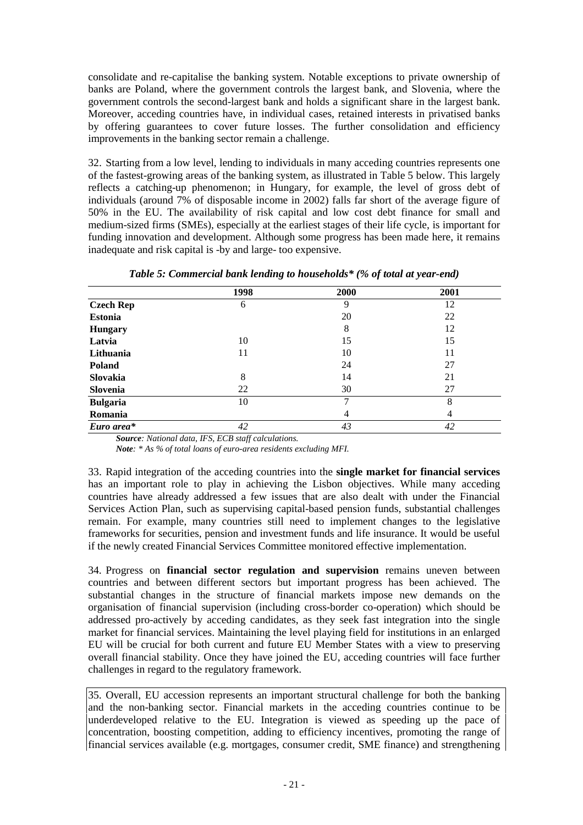consolidate and re-capitalise the banking system. Notable exceptions to private ownership of banks are Poland, where the government controls the largest bank, and Slovenia, where the government controls the second-largest bank and holds a significant share in the largest bank. Moreover, acceding countries have, in individual cases, retained interests in privatised banks by offering guarantees to cover future losses. The further consolidation and efficiency improvements in the banking sector remain a challenge.

32. Starting from a low level, lending to individuals in many acceding countries represents one of the fastest-growing areas of the banking system, as illustrated in Table 5 below. This largely reflects a catching-up phenomenon; in Hungary, for example, the level of gross debt of individuals (around 7% of disposable income in 2002) falls far short of the average figure of 50% in the EU. The availability of risk capital and low cost debt finance for small and medium-sized firms (SMEs), especially at the earliest stages of their life cycle, is important for funding innovation and development. Although some progress has been made here, it remains inadequate and risk capital is -by and large- too expensive.

|                  | 1998 | 2000 | 2001 |
|------------------|------|------|------|
| <b>Czech Rep</b> | 6    | 9    | 12   |
| <b>Estonia</b>   |      | 20   | 22   |
| <b>Hungary</b>   |      | 8    | 12   |
| Latvia           | 10   | 15   | 15   |
| Lithuania        | 11   | 10   | 11   |
| <b>Poland</b>    |      | 24   | 27   |
| Slovakia         | 8    | 14   | 21   |
| Slovenia         | 22   | 30   | 27   |
| <b>Bulgaria</b>  | 10   | 7    | 8    |
| Romania          |      | 4    | 4    |
| Euro area*       | 42   | 43   | 42   |

| Table 5: Commercial bank lending to households* (% of total at year-end) |  |  |  |  |
|--------------------------------------------------------------------------|--|--|--|--|
|--------------------------------------------------------------------------|--|--|--|--|

*Source: National data, IFS, ECB staff calculations.*

*Note: \* As % of total loans of euro-area residents excluding MFI.*

33. Rapid integration of the acceding countries into the **single market for financial services** has an important role to play in achieving the Lisbon objectives. While many acceding countries have already addressed a few issues that are also dealt with under the Financial Services Action Plan, such as supervising capital-based pension funds, substantial challenges remain. For example, many countries still need to implement changes to the legislative frameworks for securities, pension and investment funds and life insurance. It would be useful if the newly created Financial Services Committee monitored effective implementation.

34. Progress on **financial sector regulation and supervision** remains uneven between countries and between different sectors but important progress has been achieved. The substantial changes in the structure of financial markets impose new demands on the organisation of financial supervision (including cross-border co-operation) which should be addressed pro-actively by acceding candidates, as they seek fast integration into the single market for financial services. Maintaining the level playing field for institutions in an enlarged EU will be crucial for both current and future EU Member States with a view to preserving overall financial stability. Once they have joined the EU, acceding countries will face further challenges in regard to the regulatory framework.

35. Overall, EU accession represents an important structural challenge for both the banking and the non-banking sector. Financial markets in the acceding countries continue to be underdeveloped relative to the EU. Integration is viewed as speeding up the pace of concentration, boosting competition, adding to efficiency incentives, promoting the range of financial services available (e.g. mortgages, consumer credit, SME finance) and strengthening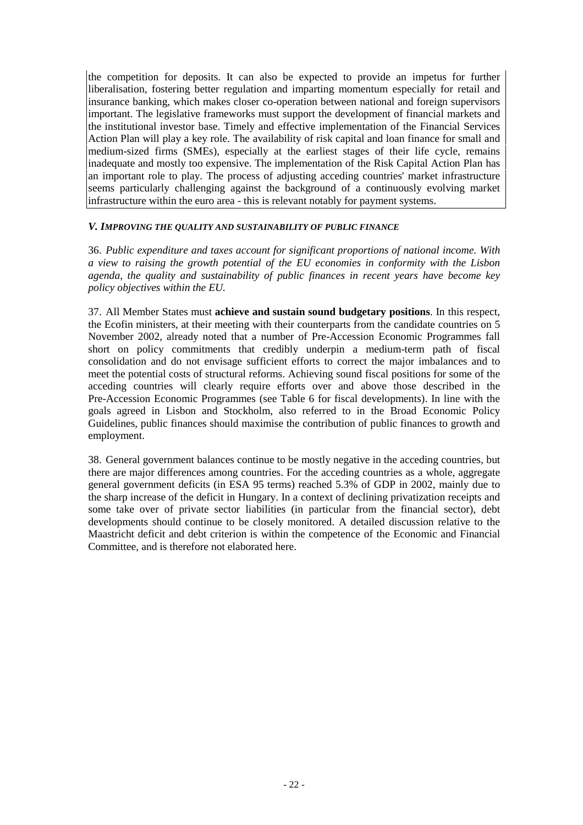the competition for deposits. It can also be expected to provide an impetus for further liberalisation, fostering better regulation and imparting momentum especially for retail and insurance banking, which makes closer co-operation between national and foreign supervisors important. The legislative frameworks must support the development of financial markets and the institutional investor base. Timely and effective implementation of the Financial Services Action Plan will play a key role. The availability of risk capital and loan finance for small and medium-sized firms (SMEs), especially at the earliest stages of their life cycle, remains inadequate and mostly too expensive. The implementation of the Risk Capital Action Plan has an important role to play. The process of adjusting acceding countries' market infrastructure seems particularly challenging against the background of a continuously evolving market infrastructure within the euro area - this is relevant notably for payment systems.

#### *V. IMPROVING THE QUALITY AND SUSTAINABILITY OF PUBLIC FINANCE*

36. *Public expenditure and taxes account for significant proportions of national income. With a view to raising the growth potential of the EU economies in conformity with the Lisbon agenda, the quality and sustainability of public finances in recent years have become key policy objectives within the EU.*

37. All Member States must **achieve and sustain sound budgetary positions**. In this respect, the Ecofin ministers, at their meeting with their counterparts from the candidate countries on 5 November 2002, already noted that a number of Pre-Accession Economic Programmes fall short on policy commitments that credibly underpin a medium-term path of fiscal consolidation and do not envisage sufficient efforts to correct the major imbalances and to meet the potential costs of structural reforms. Achieving sound fiscal positions for some of the acceding countries will clearly require efforts over and above those described in the Pre-Accession Economic Programmes (see Table 6 for fiscal developments). In line with the goals agreed in Lisbon and Stockholm, also referred to in the Broad Economic Policy Guidelines, public finances should maximise the contribution of public finances to growth and employment.

38. General government balances continue to be mostly negative in the acceding countries, but there are major differences among countries. For the acceding countries as a whole, aggregate general government deficits (in ESA 95 terms) reached 5.3% of GDP in 2002, mainly due to the sharp increase of the deficit in Hungary. In a context of declining privatization receipts and some take over of private sector liabilities (in particular from the financial sector), debt developments should continue to be closely monitored. A detailed discussion relative to the Maastricht deficit and debt criterion is within the competence of the Economic and Financial Committee, and is therefore not elaborated here.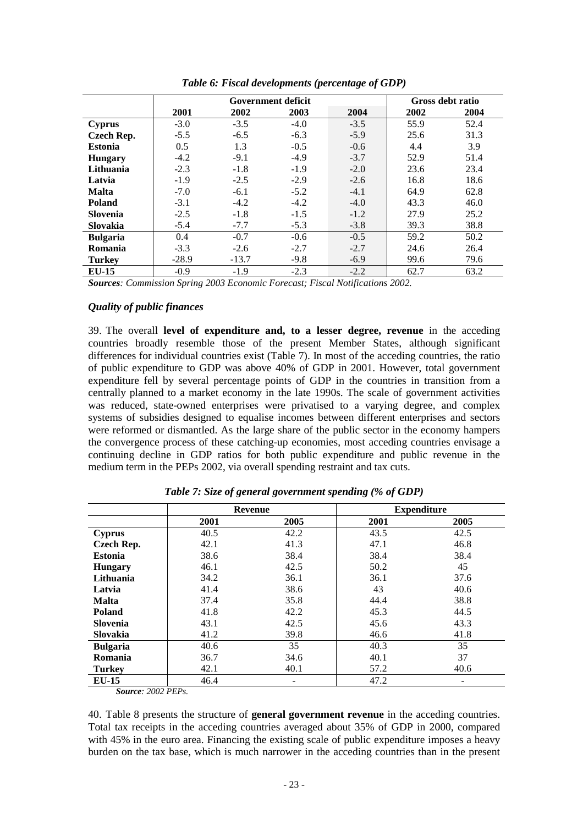|                 |         | <b>Government deficit</b> | Gross debt ratio |        |      |      |
|-----------------|---------|---------------------------|------------------|--------|------|------|
|                 | 2001    | 2002                      | 2003             | 2004   | 2002 | 2004 |
| Cyprus          | $-3.0$  | $-3.5$                    | $-4.0$           | $-3.5$ | 55.9 | 52.4 |
| Czech Rep.      | $-5.5$  | $-6.5$                    | $-6.3$           | $-5.9$ | 25.6 | 31.3 |
| <b>Estonia</b>  | 0.5     | 1.3                       | $-0.5$           | $-0.6$ | 4.4  | 3.9  |
| <b>Hungary</b>  | $-4.2$  | $-9.1$                    | $-4.9$           | $-3.7$ | 52.9 | 51.4 |
| Lithuania       | $-2.3$  | $-1.8$                    | $-1.9$           | $-2.0$ | 23.6 | 23.4 |
| Latvia          | $-1.9$  | $-2.5$                    | $-2.9$           | $-2.6$ | 16.8 | 18.6 |
| <b>Malta</b>    | $-7.0$  | $-6.1$                    | $-5.2$           | $-4.1$ | 64.9 | 62.8 |
| <b>Poland</b>   | $-3.1$  | $-4.2$                    | $-4.2$           | $-4.0$ | 43.3 | 46.0 |
| Slovenia        | $-2.5$  | $-1.8$                    | $-1.5$           | $-1.2$ | 27.9 | 25.2 |
| Slovakia        | $-5.4$  | $-7.7$                    | $-5.3$           | $-3.8$ | 39.3 | 38.8 |
| <b>Bulgaria</b> | 0.4     | $-0.7$                    | $-0.6$           | $-0.5$ | 59.2 | 50.2 |
| Romania         | $-3.3$  | $-2.6$                    | $-2.7$           | $-2.7$ | 24.6 | 26.4 |
| <b>Turkey</b>   | $-28.9$ | $-13.7$                   | $-9.8$           | $-6.9$ | 99.6 | 79.6 |
| $EU-15$         | $-0.9$  | $-1.9$                    | $-2.3$           | $-2.2$ | 62.7 | 63.2 |

*Table 6: Fiscal developments (percentage of GDP)*

*Sources: Commission Spring 2003 Economic Forecast; Fiscal Notifications 2002.*

#### *Quality of public finances*

39. The overall **level of expenditure and, to a lesser degree, revenue** in the acceding countries broadly resemble those of the present Member States, although significant differences for individual countries exist (Table 7). In most of the acceding countries, the ratio of public expenditure to GDP was above 40% of GDP in 2001. However, total government expenditure fell by several percentage points of GDP in the countries in transition from a centrally planned to a market economy in the late 1990s. The scale of government activities was reduced, state-owned enterprises were privatised to a varying degree, and complex systems of subsidies designed to equalise incomes between different enterprises and sectors were reformed or dismantled. As the large share of the public sector in the economy hampers the convergence process of these catching-up economies, most acceding countries envisage a continuing decline in GDP ratios for both public expenditure and public revenue in the medium term in the PEPs 2002, via overall spending restraint and tax cuts.

|                   |      | <b>Revenue</b> |      | <b>Expenditure</b> |
|-------------------|------|----------------|------|--------------------|
|                   | 2001 | 2005           | 2001 | 2005               |
| <b>Cyprus</b>     | 40.5 | 42.2           | 43.5 | 42.5               |
| <b>Czech Rep.</b> | 42.1 | 41.3           | 47.1 | 46.8               |
| <b>Estonia</b>    | 38.6 | 38.4           | 38.4 | 38.4               |
| <b>Hungary</b>    | 46.1 | 42.5           | 50.2 | 45                 |
| Lithuania         | 34.2 | 36.1           | 36.1 | 37.6               |
| Latvia            | 41.4 | 38.6           | 43   | 40.6               |
| <b>Malta</b>      | 37.4 | 35.8           | 44.4 | 38.8               |
| <b>Poland</b>     | 41.8 | 42.2           | 45.3 | 44.5               |
| <b>Slovenia</b>   | 43.1 | 42.5           | 45.6 | 43.3               |
| Slovakia          | 41.2 | 39.8           | 46.6 | 41.8               |
| <b>Bulgaria</b>   | 40.6 | 35             | 40.3 | 35                 |
| Romania           | 36.7 | 34.6           | 40.1 | 37                 |
| <b>Turkey</b>     | 42.1 | 40.1           | 57.2 | 40.6               |
| $EU-15$           | 46.4 |                | 47.2 |                    |

*Table 7: Size of general government spending (% of GDP)*

*Source: 2002 PEPs.*

40. Table 8 presents the structure of **general government revenue** in the acceding countries. Total tax receipts in the acceding countries averaged about 35% of GDP in 2000, compared with 45% in the euro area. Financing the existing scale of public expenditure imposes a heavy burden on the tax base, which is much narrower in the acceding countries than in the present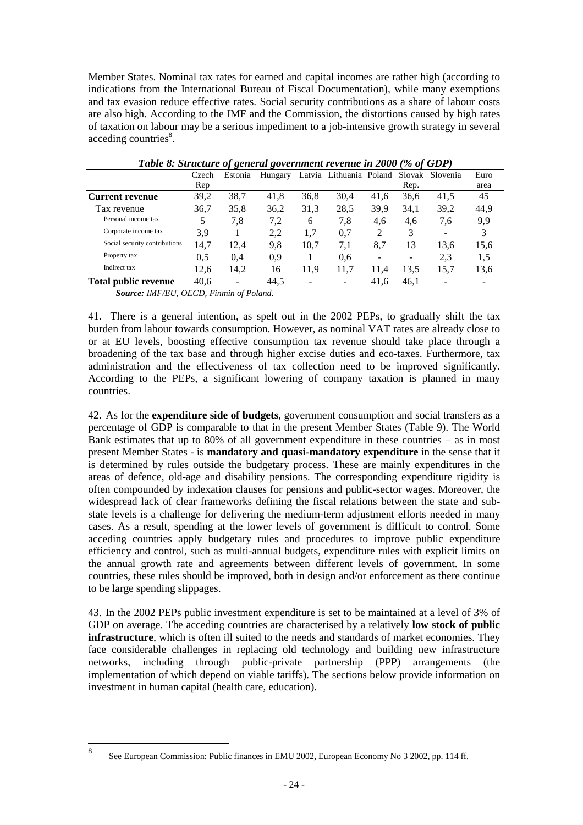Member States. Nominal tax rates for earned and capital incomes are rather high (according to indications from the International Bureau of Fiscal Documentation), while many exemptions and tax evasion reduce effective rates. Social security contributions as a share of labour costs are also high. According to the IMF and the Commission, the distortions caused by high rates of taxation on labour may be a serious impediment to a job-intensive growth strategy in several acceding countries<sup>8</sup>.

|                               |       | ັັ      | $\cdot$ |      |                         |      |      |                 |      |  |
|-------------------------------|-------|---------|---------|------|-------------------------|------|------|-----------------|------|--|
|                               | Czech | Estonia | Hungary |      | Latvia Lithuania Poland |      |      | Slovak Slovenia | Euro |  |
|                               | Rep   |         |         |      |                         |      | Rep. |                 | area |  |
| <b>Current revenue</b>        | 39,2  | 38.7    | 41,8    | 36.8 | 30.4                    | 41.6 | 36,6 | 41,5            | 45   |  |
| Tax revenue                   | 36,7  | 35,8    | 36,2    | 31,3 | 28.5                    | 39,9 | 34,1 | 39,2            | 44,9 |  |
| Personal income tax           | 5     | 7,8     | 7,2     | 6    | 7,8                     | 4,6  | 4,6  | 7.6             | 9,9  |  |
| Corporate income tax          | 3,9   |         | 2.2     | 1,7  | 0,7                     | 2    | 3    | -               |      |  |
| Social security contributions | 14,7  | 12.4    | 9,8     | 10.7 | 7,1                     | 8.7  | 13   | 13.6            | 15,6 |  |
| Property tax                  | 0.5   | 0.4     | 0.9     |      | 0.6                     | -    | -    | 2,3             | 1,5  |  |
| Indirect tax                  | 12.6  | 14,2    | 16      | 11,9 | 11.7                    | 11.4 | 13.5 | 15.7            | 13,6 |  |
| <b>Total public revenue</b>   | 40,6  |         | 44.5    |      | ۰                       | 41.6 | 46.1 |                 |      |  |

 *Table 8: Structure of general government revenue in 2000 (% of GDP)*

*Source: IMF/EU, OECD, Finmin of Poland.*

41. There is a general intention, as spelt out in the 2002 PEPs, to gradually shift the tax burden from labour towards consumption. However, as nominal VAT rates are already close to or at EU levels, boosting effective consumption tax revenue should take place through a broadening of the tax base and through higher excise duties and eco-taxes. Furthermore, tax administration and the effectiveness of tax collection need to be improved significantly. According to the PEPs, a significant lowering of company taxation is planned in many countries.

42. As for the **expenditure side of budgets**, government consumption and social transfers as a percentage of GDP is comparable to that in the present Member States (Table 9). The World Bank estimates that up to 80% of all government expenditure in these countries – as in most present Member States - is **mandatory and quasi-mandatory expenditure** in the sense that it is determined by rules outside the budgetary process. These are mainly expenditures in the areas of defence, old-age and disability pensions. The corresponding expenditure rigidity is often compounded by indexation clauses for pensions and public-sector wages. Moreover, the widespread lack of clear frameworks defining the fiscal relations between the state and substate levels is a challenge for delivering the medium-term adjustment efforts needed in many cases. As a result, spending at the lower levels of government is difficult to control. Some acceding countries apply budgetary rules and procedures to improve public expenditure efficiency and control, such as multi-annual budgets, expenditure rules with explicit limits on the annual growth rate and agreements between different levels of government. In some countries, these rules should be improved, both in design and/or enforcement as there continue to be large spending slippages.

43. In the 2002 PEPs public investment expenditure is set to be maintained at a level of 3% of GDP on average. The acceding countries are characterised by a relatively **low stock of public infrastructure**, which is often ill suited to the needs and standards of market economies. They face considerable challenges in replacing old technology and building new infrastructure networks, including through public-private partnership (PPP) arrangements (the implementation of which depend on viable tariffs). The sections below provide information on investment in human capital (health care, education).

<sup>8</sup> <sup>8</sup> See European Commission: Public finances in EMU 2002, European Economy No 3 2002, pp. 114 ff.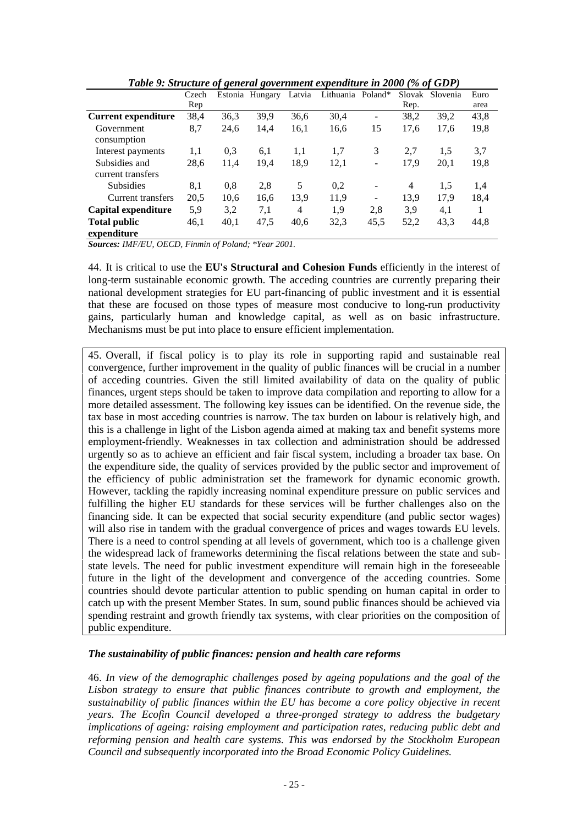|                            | Czech |      | Estonia Hungary | Latvia         | Lithuania Poland* |                          | Slovak | Slovenia | Euro |
|----------------------------|-------|------|-----------------|----------------|-------------------|--------------------------|--------|----------|------|
|                            | Rep   |      |                 |                |                   |                          | Rep.   |          | area |
| <b>Current expenditure</b> | 38,4  | 36,3 | 39,9            | 36,6           | 30,4              | $\blacksquare$           | 38,2   | 39,2     | 43,8 |
| Government                 | 8,7   | 24,6 | 14,4            | 16,1           | 16,6              | 15                       | 17,6   | 17,6     | 19,8 |
| consumption                |       |      |                 |                |                   |                          |        |          |      |
| Interest payments          | 1,1   | 0.3  | 6,1             | 1,1            | 1,7               | 3                        | 2,7    | 1,5      | 3,7  |
| Subsidies and              | 28,6  | 11,4 | 19,4            | 18.9           | 12,1              | $\overline{\phantom{a}}$ | 17,9   | 20,1     | 19,8 |
| current transfers          |       |      |                 |                |                   |                          |        |          |      |
| <b>Subsidies</b>           | 8,1   | 0,8  | 2.8             | 5              | 0,2               | $\overline{\phantom{a}}$ | 4      | 1,5      | 1,4  |
| Current transfers          | 20,5  | 10,6 | 16,6            | 13,9           | 11,9              | $\overline{\phantom{a}}$ | 13,9   | 17,9     | 18,4 |
| Capital expenditure        | 5,9   | 3,2  | 7,1             | $\overline{4}$ | 1,9               | 2.8                      | 3,9    | 4,1      |      |
| <b>Total public</b>        | 46,1  | 40,1 | 47,5            | 40,6           | 32,3              | 45,5                     | 52,2   | 43,3     | 44,8 |
| expenditure                |       |      |                 |                |                   |                          |        |          |      |

*Table 9: Structure of general government expenditure in 2000 (% of GDP)*

*Sources: IMF/EU, OECD, Finmin of Poland; \*Year 2001.*

44. It is critical to use the **EU's Structural and Cohesion Funds** efficiently in the interest of long-term sustainable economic growth. The acceding countries are currently preparing their national development strategies for EU part-financing of public investment and it is essential that these are focused on those types of measure most conducive to long-run productivity gains, particularly human and knowledge capital, as well as on basic infrastructure. Mechanisms must be put into place to ensure efficient implementation.

45. Overall, if fiscal policy is to play its role in supporting rapid and sustainable real convergence, further improvement in the quality of public finances will be crucial in a number of acceding countries. Given the still limited availability of data on the quality of public finances, urgent steps should be taken to improve data compilation and reporting to allow for a more detailed assessment. The following key issues can be identified. On the revenue side, the tax base in most acceding countries is narrow. The tax burden on labour is relatively high, and this is a challenge in light of the Lisbon agenda aimed at making tax and benefit systems more employment-friendly. Weaknesses in tax collection and administration should be addressed urgently so as to achieve an efficient and fair fiscal system, including a broader tax base. On the expenditure side, the quality of services provided by the public sector and improvement of the efficiency of public administration set the framework for dynamic economic growth. However, tackling the rapidly increasing nominal expenditure pressure on public services and fulfilling the higher EU standards for these services will be further challenges also on the financing side. It can be expected that social security expenditure (and public sector wages) will also rise in tandem with the gradual convergence of prices and wages towards EU levels. There is a need to control spending at all levels of government, which too is a challenge given the widespread lack of frameworks determining the fiscal relations between the state and substate levels. The need for public investment expenditure will remain high in the foreseeable future in the light of the development and convergence of the acceding countries. Some countries should devote particular attention to public spending on human capital in order to catch up with the present Member States. In sum, sound public finances should be achieved via spending restraint and growth friendly tax systems, with clear priorities on the composition of public expenditure.

#### *The sustainability of public finances: pension and health care reforms*

46. *In view of the demographic challenges posed by ageing populations and the goal of the Lisbon strategy to ensure that public finances contribute to growth and employment, the sustainability of public finances within the EU has become a core policy objective in recent years. The Ecofin Council developed a three-pronged strategy to address the budgetary implications of ageing: raising employment and participation rates, reducing public debt and reforming pension and health care systems. This was endorsed by the Stockholm European Council and subsequently incorporated into the Broad Economic Policy Guidelines.*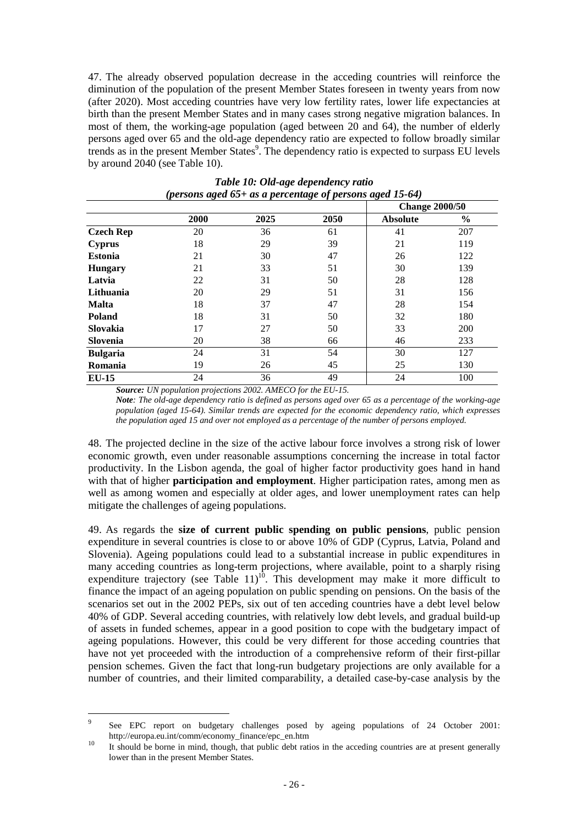47. The already observed population decrease in the acceding countries will reinforce the diminution of the population of the present Member States foreseen in twenty years from now (after 2020). Most acceding countries have very low fertility rates, lower life expectancies at birth than the present Member States and in many cases strong negative migration balances. In most of them, the working-age population (aged between 20 and 64), the number of elderly persons aged over 65 and the old-age dependency ratio are expected to follow broadly similar trends as in the present Member States<sup>9</sup>. The dependency ratio is expected to surpass EU levels by around 2040 (see Table 10).

|                  | <u>то-</u> |      | - <i>o</i> - <i>o - j r</i> - | . О<br><b>Change 2000/50</b> |               |  |
|------------------|------------|------|-------------------------------|------------------------------|---------------|--|
|                  | 2000       | 2025 | 2050                          | <b>Absolute</b>              | $\frac{0}{0}$ |  |
| <b>Czech Rep</b> | 20         | 36   | 61                            | 41                           | 207           |  |
| <b>Cyprus</b>    | 18         | 29   | 39                            | 21                           | 119           |  |
| <b>Estonia</b>   | 21         | 30   | 47                            | 26                           | 122           |  |
| <b>Hungary</b>   | 21         | 33   | 51                            | 30                           | 139           |  |
| Latvia           | 22         | 31   | 50                            | 28                           | 128           |  |
| Lithuania        | 20         | 29   | 51                            | 31                           | 156           |  |
| <b>Malta</b>     | 18         | 37   | 47                            | 28                           | 154           |  |
| Poland           | 18         | 31   | 50                            | 32                           | 180           |  |
| Slovakia         | 17         | 27   | 50                            | 33                           | 200           |  |
| Slovenia         | 20         | 38   | 66                            | 46                           | 233           |  |
| <b>Bulgaria</b>  | 24         | 31   | 54                            | 30                           | 127           |  |
| Romania          | 19         | 26   | 45                            | 25                           | 130           |  |
| $EU-15$          | 24         | 36   | 49                            | 24                           | 100           |  |

#### *Table 10: Old-age dependency ratio (persons aged 65+ as a percentage of persons aged 15-64)*

*Source: UN population projections 2002. AMECO for the EU-15.*

*Note: The old-age dependency ratio is defined as persons aged over 65 as a percentage of the working-age population (aged 15-64). Similar trends are expected for the economic dependency ratio, which expresses the population aged 15 and over not employed as a percentage of the number of persons employed.*

48. The projected decline in the size of the active labour force involves a strong risk of lower economic growth, even under reasonable assumptions concerning the increase in total factor productivity. In the Lisbon agenda, the goal of higher factor productivity goes hand in hand with that of higher **participation and employment**. Higher participation rates, among men as well as among women and especially at older ages, and lower unemployment rates can help mitigate the challenges of ageing populations.

49. As regards the **size of current public spending on public pensions**, public pension expenditure in several countries is close to or above 10% of GDP (Cyprus, Latvia, Poland and Slovenia). Ageing populations could lead to a substantial increase in public expenditures in many acceding countries as long-term projections, where available, point to a sharply rising expenditure trajectory (see Table  $11$ )<sup>10</sup>. This development may make it more difficult to finance the impact of an ageing population on public spending on pensions. On the basis of the scenarios set out in the 2002 PEPs, six out of ten acceding countries have a debt level below 40% of GDP. Several acceding countries, with relatively low debt levels, and gradual build-up of assets in funded schemes, appear in a good position to cope with the budgetary impact of ageing populations. However, this could be very different for those acceding countries that have not yet proceeded with the introduction of a comprehensive reform of their first-pillar pension schemes. Given the fact that long-run budgetary projections are only available for a number of countries, and their limited comparability, a detailed case-by-case analysis by the

<sup>-&</sup>lt;br>9 See EPC report on budgetary challenges posed by ageing populations of 24 October 2001: http://europa.eu.int/comm/economy\_finance/epc\_en.htm<br><sup>10</sup> It should be borne in mind, though, that public debt ratios in the acceding countries are at present generally

lower than in the present Member States.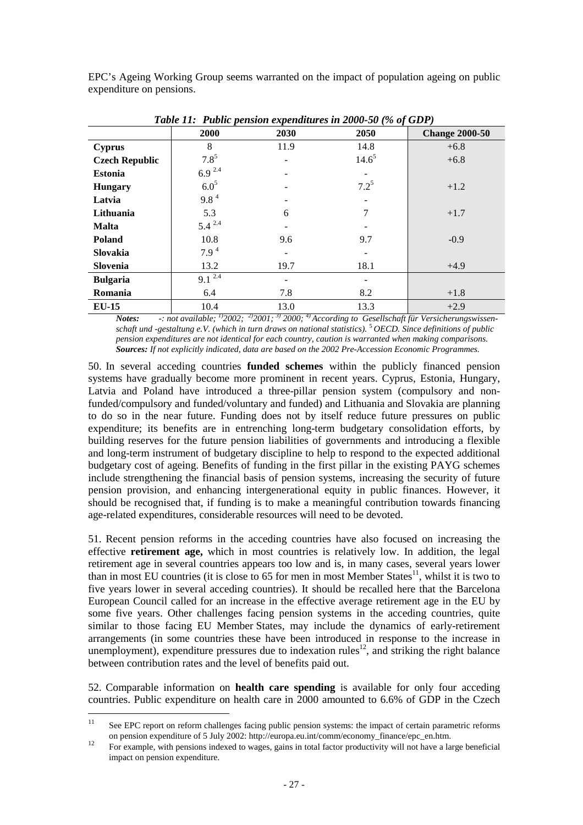EPC's Ageing Working Group seems warranted on the impact of population ageing on public expenditure on pensions.

| Tubic 11. Tubic pension expension cs in 2000-50 (70 0) ODT $\mu$ |                  |      |            |                       |  |  |  |  |  |  |
|------------------------------------------------------------------|------------------|------|------------|-----------------------|--|--|--|--|--|--|
|                                                                  | <b>2000</b>      | 2030 | 2050       | <b>Change 2000-50</b> |  |  |  |  |  |  |
| <b>Cyprus</b>                                                    | 8                | 11.9 | 14.8       | $+6.8$                |  |  |  |  |  |  |
| <b>Czech Republic</b>                                            | $7.8^{5}$        |      | $14.6^{5}$ | $+6.8$                |  |  |  |  |  |  |
| <b>Estonia</b>                                                   | $6.9^{2.4}$      |      |            |                       |  |  |  |  |  |  |
| <b>Hungary</b>                                                   | $6.0^{5}$        |      | $7.2^{5}$  | $+1.2$                |  |  |  |  |  |  |
| Latvia                                                           | 9.8 <sup>4</sup> |      |            |                       |  |  |  |  |  |  |
| Lithuania                                                        | 5.3              | 6    | 7          | $+1.7$                |  |  |  |  |  |  |
| <b>Malta</b>                                                     | $5.4^{2.4}$      |      |            |                       |  |  |  |  |  |  |
| <b>Poland</b>                                                    | 10.8             | 9.6  | 9.7        | $-0.9$                |  |  |  |  |  |  |
| Slovakia                                                         | 7.9 <sup>4</sup> |      |            |                       |  |  |  |  |  |  |
| Slovenia                                                         | 13.2             | 19.7 | 18.1       | $+4.9$                |  |  |  |  |  |  |
| <b>Bulgaria</b>                                                  | $9.1^{2.4}$      | -    |            |                       |  |  |  |  |  |  |
| Romania                                                          | 6.4              | 7.8  | 8.2        | $+1.8$                |  |  |  |  |  |  |
| <b>EU-15</b>                                                     | 10.4             | 13.0 | 13.3       | $+2.9$                |  |  |  |  |  |  |

*Table 11: Public pension expenditures in 2000-50 (% of GDP)*

*Notes: -: not available; 1)2002; 2)2001; 3) 2000; 4) According to Gesellschaft für Versicherungswissenschaft und -gestaltung e.V. (which in turn draws on national statistics).* <sup>5</sup>*OECD. Since definitions of public pension expenditures are not identical for each country, caution is warranted when making comparisons. Sources: If not explicitly indicated, data are based on the 2002 Pre-Accession Economic Programmes.*

50. In several acceding countries **funded schemes** within the publicly financed pension systems have gradually become more prominent in recent years. Cyprus, Estonia, Hungary, Latvia and Poland have introduced a three-pillar pension system (compulsory and nonfunded/compulsory and funded/voluntary and funded) and Lithuania and Slovakia are planning to do so in the near future. Funding does not by itself reduce future pressures on public expenditure; its benefits are in entrenching long-term budgetary consolidation efforts, by building reserves for the future pension liabilities of governments and introducing a flexible and long-term instrument of budgetary discipline to help to respond to the expected additional budgetary cost of ageing. Benefits of funding in the first pillar in the existing PAYG schemes include strengthening the financial basis of pension systems, increasing the security of future pension provision, and enhancing intergenerational equity in public finances. However, it should be recognised that, if funding is to make a meaningful contribution towards financing age-related expenditures, considerable resources will need to be devoted.

51. Recent pension reforms in the acceding countries have also focused on increasing the effective **retirement age,** which in most countries is relatively low. In addition, the legal retirement age in several countries appears too low and is, in many cases, several years lower than in most EU countries (it is close to 65 for men in most Member States $^{11}$ , whilst it is two to five years lower in several acceding countries). It should be recalled here that the Barcelona European Council called for an increase in the effective average retirement age in the EU by some five years. Other challenges facing pension systems in the acceding countries, quite similar to those facing EU Member States, may include the dynamics of early-retirement arrangements (in some countries these have been introduced in response to the increase in unemployment), expenditure pressures due to indexation rules<sup>12</sup>, and striking the right balance between contribution rates and the level of benefits paid out.

52. Comparable information on **health care spending** is available for only four acceding countries. Public expenditure on health care in 2000 amounted to 6.6% of GDP in the Czech

 $11$ See EPC report on reform challenges facing public pension systems: the impact of certain parametric reforms on pension expenditure of 5 July 2002: http://europa.eu.int/comm/economy\_finance/epc\_en.htm.<br><sup>12</sup> For example, with pensions indexed to wages, gains in total factor productivity will not have a large beneficial

impact on pension expenditure.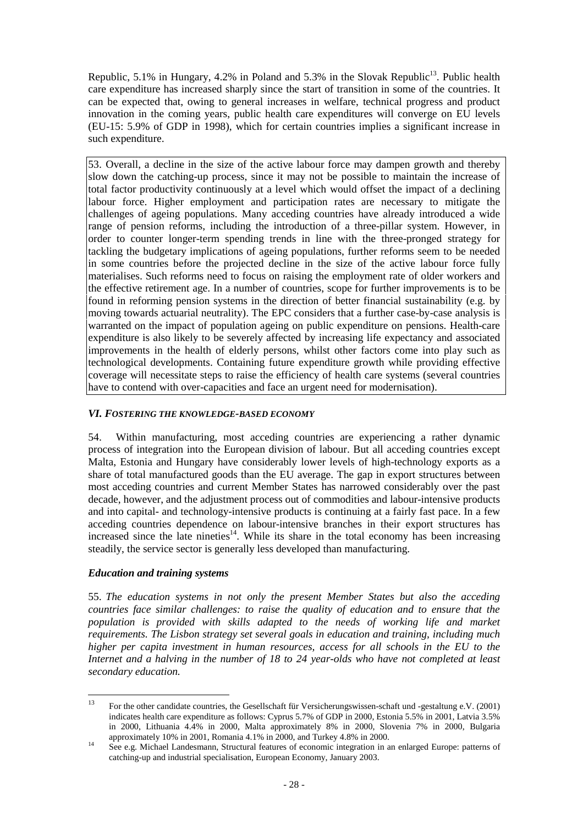Republic,  $5.1\%$  in Hungary,  $4.2\%$  in Poland and  $5.3\%$  in the Slovak Republic<sup>13</sup>. Public health care expenditure has increased sharply since the start of transition in some of the countries. It can be expected that, owing to general increases in welfare, technical progress and product innovation in the coming years, public health care expenditures will converge on EU levels (EU-15: 5.9% of GDP in 1998), which for certain countries implies a significant increase in such expenditure.

53. Overall, a decline in the size of the active labour force may dampen growth and thereby slow down the catching-up process, since it may not be possible to maintain the increase of total factor productivity continuously at a level which would offset the impact of a declining labour force. Higher employment and participation rates are necessary to mitigate the challenges of ageing populations. Many acceding countries have already introduced a wide range of pension reforms, including the introduction of a three-pillar system. However, in order to counter longer-term spending trends in line with the three-pronged strategy for tackling the budgetary implications of ageing populations, further reforms seem to be needed in some countries before the projected decline in the size of the active labour force fully materialises. Such reforms need to focus on raising the employment rate of older workers and the effective retirement age. In a number of countries, scope for further improvements is to be found in reforming pension systems in the direction of better financial sustainability (e.g. by moving towards actuarial neutrality). The EPC considers that a further case-by-case analysis is warranted on the impact of population ageing on public expenditure on pensions. Health-care expenditure is also likely to be severely affected by increasing life expectancy and associated improvements in the health of elderly persons, whilst other factors come into play such as technological developments. Containing future expenditure growth while providing effective coverage will necessitate steps to raise the efficiency of health care systems (several countries have to contend with over-capacities and face an urgent need for modernisation).

### *VI. FOSTERING THE KNOWLEDGE-BASED ECONOMY*

54. Within manufacturing, most acceding countries are experiencing a rather dynamic process of integration into the European division of labour. But all acceding countries except Malta, Estonia and Hungary have considerably lower levels of high-technology exports as a share of total manufactured goods than the EU average. The gap in export structures between most acceding countries and current Member States has narrowed considerably over the past decade, however, and the adjustment process out of commodities and labour-intensive products and into capital- and technology-intensive products is continuing at a fairly fast pace. In a few acceding countries dependence on labour-intensive branches in their export structures has increased since the late nineties<sup>14</sup>. While its share in the total economy has been increasing steadily, the service sector is generally less developed than manufacturing.

#### *Education and training systems*

55. *The education systems in not only the present Member States but also the acceding countries face similar challenges: to raise the quality of education and to ensure that the population is provided with skills adapted to the needs of working life and market requirements. The Lisbon strategy set several goals in education and training, including much higher per capita investment in human resources, access for all schools in the EU to the Internet and a halving in the number of 18 to 24 year-olds who have not completed at least secondary education.*

 $13$ <sup>13</sup> For the other candidate countries, the Gesellschaft für Versicherungswissen-schaft und -gestaltung e.V. (2001) indicates health care expenditure as follows: Cyprus 5.7% of GDP in 2000, Estonia 5.5% in 2001, Latvia 3.5% in 2000, Lithuania 4.4% in 2000, Malta approximately 8% in 2000, Slovenia 7% in 2000, Bulgaria

approximately 10% in 2001, Romania 4.1% in 2000, and Turkey 4.8% in 2000.<br><sup>14</sup> See e.g. Michael Landesmann, Structural features of economic integration in an enlarged Europe: patterns of catching-up and industrial specialisation, European Economy, January 2003.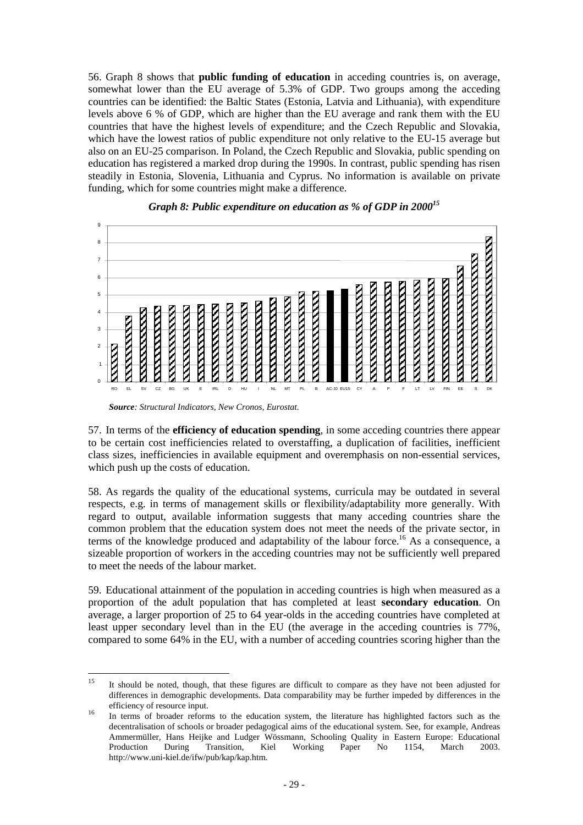56. Graph 8 shows that **public funding of education** in acceding countries is, on average, somewhat lower than the EU average of 5.3% of GDP. Two groups among the acceding countries can be identified: the Baltic States (Estonia, Latvia and Lithuania), with expenditure levels above 6 % of GDP, which are higher than the EU average and rank them with the EU countries that have the highest levels of expenditure; and the Czech Republic and Slovakia, which have the lowest ratios of public expenditure not only relative to the EU-15 average but also on an EU-25 comparison. In Poland, the Czech Republic and Slovakia, public spending on education has registered a marked drop during the 1990s. In contrast, public spending has risen steadily in Estonia, Slovenia, Lithuania and Cyprus. No information is available on private funding, which for some countries might make a difference.





57. In terms of the **efficiency of education spending**, in some acceding countries there appear to be certain cost inefficiencies related to overstaffing, a duplication of facilities, inefficient class sizes, inefficiencies in available equipment and overemphasis on non-essential services, which push up the costs of education.

58. As regards the quality of the educational systems, curricula may be outdated in several respects, e.g. in terms of management skills or flexibility/adaptability more generally. With regard to output, available information suggests that many acceding countries share the common problem that the education system does not meet the needs of the private sector, in terms of the knowledge produced and adaptability of the labour force.<sup>16</sup> As a consequence, a sizeable proportion of workers in the acceding countries may not be sufficiently well prepared to meet the needs of the labour market.

59. Educational attainment of the population in acceding countries is high when measured as a proportion of the adult population that has completed at least **secondary education**. On average, a larger proportion of 25 to 64 year-olds in the acceding countries have completed at least upper secondary level than in the EU (the average in the acceding countries is 77%, compared to some 64% in the EU, with a number of acceding countries scoring higher than the

*Source: Structural Indicators, New Cronos, Eurostat.*

 $15$ <sup>15</sup> It should be noted, though, that these figures are difficult to compare as they have not been adjusted for differences in demographic developments. Data comparability may be further impeded by differences in the efficiency of resource input.<br><sup>16</sup> In terms of broader reforms to the education system, the literature has highlighted factors such as the

decentralisation of schools or broader pedagogical aims of the educational system. See, for example, Andreas Ammermüller, Hans Heijke and Ludger Wössmann, Schooling Quality in Eastern Europe: Educational Production During Transition, Kiel Working Paper No 1154, March 2003. http://www.uni-kiel.de/ifw/pub/kap/kap.htm.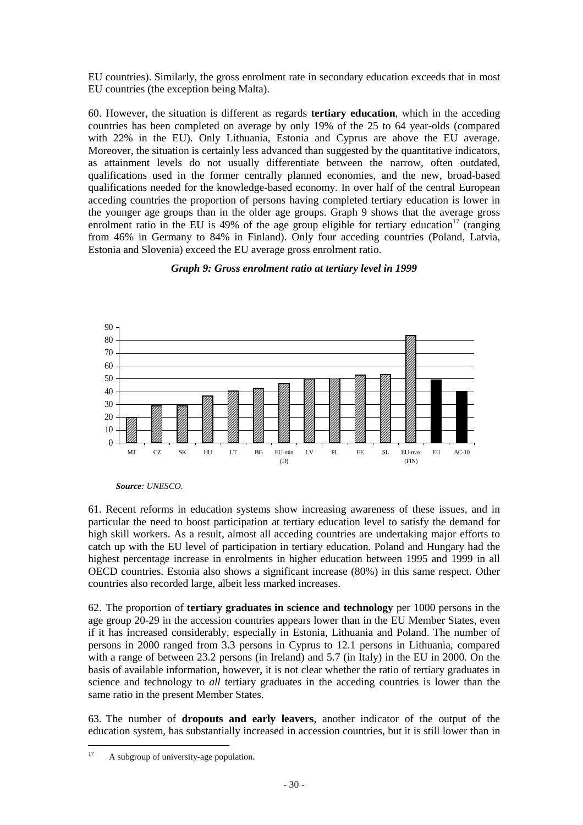EU countries). Similarly, the gross enrolment rate in secondary education exceeds that in most EU countries (the exception being Malta).

60. However, the situation is different as regards **tertiary education**, which in the acceding countries has been completed on average by only 19% of the 25 to 64 year-olds (compared with 22% in the EU). Only Lithuania, Estonia and Cyprus are above the EU average. Moreover, the situation is certainly less advanced than suggested by the quantitative indicators, as attainment levels do not usually differentiate between the narrow, often outdated, qualifications used in the former centrally planned economies, and the new, broad-based qualifications needed for the knowledge-based economy. In over half of the central European acceding countries the proportion of persons having completed tertiary education is lower in the younger age groups than in the older age groups. Graph 9 shows that the average gross enrolment ratio in the EU is 49% of the age group eligible for tertiary education<sup>17</sup> (ranging from 46% in Germany to 84% in Finland). Only four acceding countries (Poland, Latvia, Estonia and Slovenia) exceed the EU average gross enrolment ratio.

#### *Graph 9: Gross enrolment ratio at tertiary level in 1999*



*Source: UNESCO.*

61. Recent reforms in education systems show increasing awareness of these issues, and in particular the need to boost participation at tertiary education level to satisfy the demand for high skill workers. As a result, almost all acceding countries are undertaking major efforts to catch up with the EU level of participation in tertiary education. Poland and Hungary had the highest percentage increase in enrolments in higher education between 1995 and 1999 in all OECD countries. Estonia also shows a significant increase (80%) in this same respect. Other countries also recorded large, albeit less marked increases.

62. The proportion of **tertiary graduates in science and technology** per 1000 persons in the age group 20-29 in the accession countries appears lower than in the EU Member States, even if it has increased considerably, especially in Estonia, Lithuania and Poland. The number of persons in 2000 ranged from 3.3 persons in Cyprus to 12.1 persons in Lithuania, compared with a range of between 23.2 persons (in Ireland) and 5.7 (in Italy) in the EU in 2000. On the basis of available information, however, it is not clear whether the ratio of tertiary graduates in science and technology to *all* tertiary graduates in the acceding countries is lower than the same ratio in the present Member States.

63. The number of **dropouts and early leavers**, another indicator of the output of the education system, has substantially increased in accession countries, but it is still lower than in

 $17$ A subgroup of university-age population.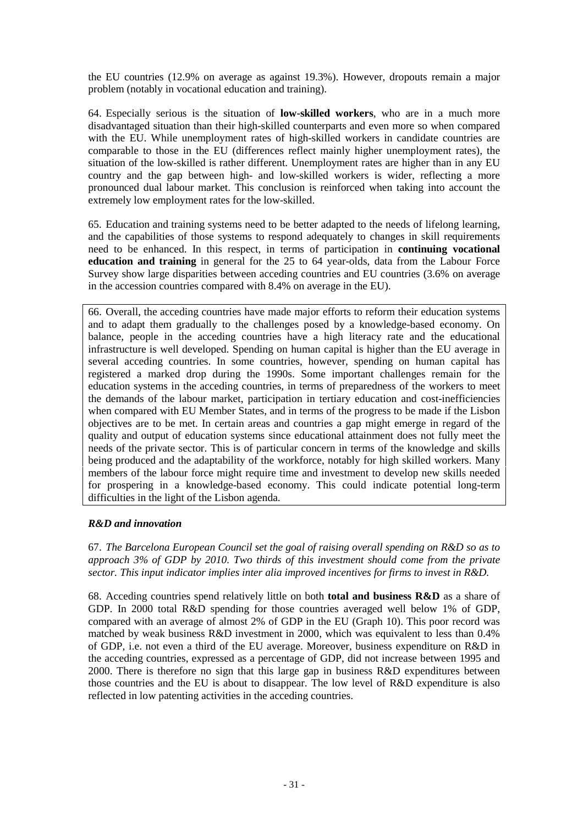the EU countries (12.9% on average as against 19.3%). However, dropouts remain a major problem (notably in vocational education and training).

64. Especially serious is the situation of **low-skilled workers**, who are in a much more disadvantaged situation than their high-skilled counterparts and even more so when compared with the EU. While unemployment rates of high-skilled workers in candidate countries are comparable to those in the EU (differences reflect mainly higher unemployment rates), the situation of the low-skilled is rather different. Unemployment rates are higher than in any EU country and the gap between high- and low-skilled workers is wider, reflecting a more pronounced dual labour market. This conclusion is reinforced when taking into account the extremely low employment rates for the low-skilled.

65. Education and training systems need to be better adapted to the needs of lifelong learning, and the capabilities of those systems to respond adequately to changes in skill requirements need to be enhanced. In this respect, in terms of participation in **continuing vocational education and training** in general for the 25 to 64 year-olds, data from the Labour Force Survey show large disparities between acceding countries and EU countries (3.6% on average in the accession countries compared with 8.4% on average in the EU).

66. Overall, the acceding countries have made major efforts to reform their education systems and to adapt them gradually to the challenges posed by a knowledge-based economy. On balance, people in the acceding countries have a high literacy rate and the educational infrastructure is well developed. Spending on human capital is higher than the EU average in several acceding countries. In some countries, however, spending on human capital has registered a marked drop during the 1990s. Some important challenges remain for the education systems in the acceding countries, in terms of preparedness of the workers to meet the demands of the labour market, participation in tertiary education and cost-inefficiencies when compared with EU Member States, and in terms of the progress to be made if the Lisbon objectives are to be met. In certain areas and countries a gap might emerge in regard of the quality and output of education systems since educational attainment does not fully meet the needs of the private sector. This is of particular concern in terms of the knowledge and skills being produced and the adaptability of the workforce, notably for high skilled workers. Many members of the labour force might require time and investment to develop new skills needed for prospering in a knowledge-based economy. This could indicate potential long-term difficulties in the light of the Lisbon agenda.

# *R&D and innovation*

67. *The Barcelona European Council set the goal of raising overall spending on R&D so as to approach 3% of GDP by 2010. Two thirds of this investment should come from the private sector. This input indicator implies inter alia improved incentives for firms to invest in R&D.*

68. Acceding countries spend relatively little on both **total and business R&D** as a share of GDP. In 2000 total R&D spending for those countries averaged well below 1% of GDP, compared with an average of almost 2% of GDP in the EU (Graph 10). This poor record was matched by weak business R&D investment in 2000, which was equivalent to less than 0.4% of GDP, i.e. not even a third of the EU average. Moreover, business expenditure on R&D in the acceding countries, expressed as a percentage of GDP, did not increase between 1995 and 2000. There is therefore no sign that this large gap in business R&D expenditures between those countries and the EU is about to disappear. The low level of R&D expenditure is also reflected in low patenting activities in the acceding countries.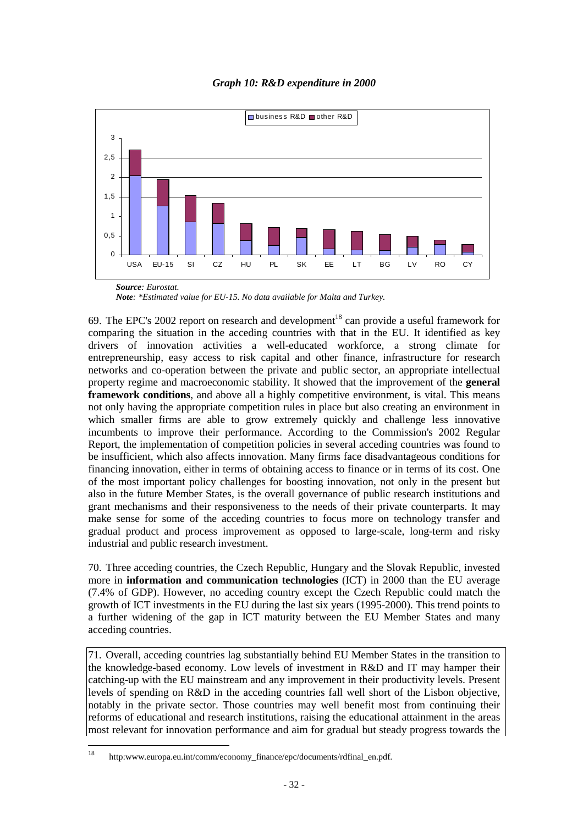



*Note: \*Estimated value for EU-15. No data available for Malta and Turkey.*

69. The EPC's 2002 report on research and development<sup>18</sup> can provide a useful framework for comparing the situation in the acceding countries with that in the EU. It identified as key drivers of innovation activities a well-educated workforce, a strong climate for entrepreneurship, easy access to risk capital and other finance, infrastructure for research networks and co-operation between the private and public sector, an appropriate intellectual property regime and macroeconomic stability. It showed that the improvement of the **general framework conditions**, and above all a highly competitive environment, is vital. This means not only having the appropriate competition rules in place but also creating an environment in which smaller firms are able to grow extremely quickly and challenge less innovative incumbents to improve their performance. According to the Commission's 2002 Regular Report, the implementation of competition policies in several acceding countries was found to be insufficient, which also affects innovation. Many firms face disadvantageous conditions for financing innovation, either in terms of obtaining access to finance or in terms of its cost. One of the most important policy challenges for boosting innovation, not only in the present but also in the future Member States, is the overall governance of public research institutions and grant mechanisms and their responsiveness to the needs of their private counterparts. It may make sense for some of the acceding countries to focus more on technology transfer and gradual product and process improvement as opposed to large-scale, long-term and risky industrial and public research investment.

70. Three acceding countries, the Czech Republic, Hungary and the Slovak Republic, invested more in **information and communication technologies** (ICT) in 2000 than the EU average (7.4% of GDP). However, no acceding country except the Czech Republic could match the growth of ICT investments in the EU during the last six years (1995-2000). This trend points to a further widening of the gap in ICT maturity between the EU Member States and many acceding countries.

71. Overall, acceding countries lag substantially behind EU Member States in the transition to the knowledge-based economy. Low levels of investment in R&D and IT may hamper their catching-up with the EU mainstream and any improvement in their productivity levels. Present levels of spending on R&D in the acceding countries fall well short of the Lisbon objective, notably in the private sector. Those countries may well benefit most from continuing their reforms of educational and research institutions, raising the educational attainment in the areas most relevant for innovation performance and aim for gradual but steady progress towards the

<sup>18</sup> http:www.europa.eu.int/comm/economy\_finance/epc/documents/rdfinal\_en.pdf.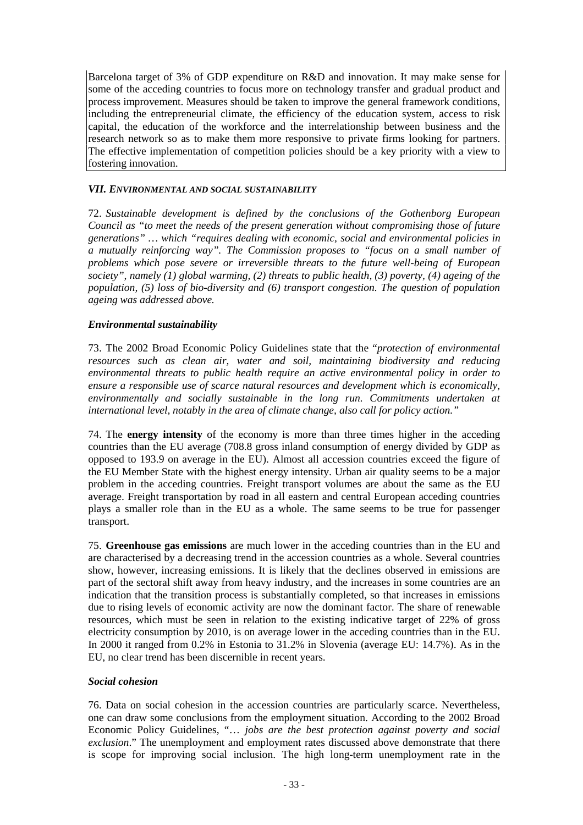Barcelona target of 3% of GDP expenditure on R&D and innovation. It may make sense for some of the acceding countries to focus more on technology transfer and gradual product and process improvement. Measures should be taken to improve the general framework conditions, including the entrepreneurial climate, the efficiency of the education system, access to risk capital, the education of the workforce and the interrelationship between business and the research network so as to make them more responsive to private firms looking for partners. The effective implementation of competition policies should be a key priority with a view to fostering innovation.

#### *VII. ENVIRONMENTAL AND SOCIAL SUSTAINABILITY*

72. *Sustainable development is defined by the conclusions of the Gothenborg European Council as "to meet the needs of the present generation without compromising those of future generations" … which "requires dealing with economic, social and environmental policies in a mutually reinforcing way". The Commission proposes to "focus on a small number of problems which pose severe or irreversible threats to the future well-being of European society", namely (1) global warming, (2) threats to public health, (3) poverty, (4) ageing of the population, (5) loss of bio-diversity and (6) transport congestion. The question of population ageing was addressed above.*

#### *Environmental sustainability*

73. The 2002 Broad Economic Policy Guidelines state that the "*protection of environmental resources such as clean air, water and soil, maintaining biodiversity and reducing environmental threats to public health require an active environmental policy in order to ensure a responsible use of scarce natural resources and development which is economically, environmentally and socially sustainable in the long run. Commitments undertaken at international level, notably in the area of climate change, also call for policy action."*

74. The **energy intensity** of the economy is more than three times higher in the acceding countries than the EU average (708.8 gross inland consumption of energy divided by GDP as opposed to 193.9 on average in the EU). Almost all accession countries exceed the figure of the EU Member State with the highest energy intensity. Urban air quality seems to be a major problem in the acceding countries. Freight transport volumes are about the same as the EU average. Freight transportation by road in all eastern and central European acceding countries plays a smaller role than in the EU as a whole. The same seems to be true for passenger transport.

75. **Greenhouse gas emissions** are much lower in the acceding countries than in the EU and are characterised by a decreasing trend in the accession countries as a whole. Several countries show, however, increasing emissions. It is likely that the declines observed in emissions are part of the sectoral shift away from heavy industry, and the increases in some countries are an indication that the transition process is substantially completed, so that increases in emissions due to rising levels of economic activity are now the dominant factor. The share of renewable resources, which must be seen in relation to the existing indicative target of 22% of gross electricity consumption by 2010, is on average lower in the acceding countries than in the EU. In 2000 it ranged from 0.2% in Estonia to 31.2% in Slovenia (average EU: 14.7%). As in the EU, no clear trend has been discernible in recent years.

# *Social cohesion*

76. Data on social cohesion in the accession countries are particularly scarce. Nevertheless, one can draw some conclusions from the employment situation. According to the 2002 Broad Economic Policy Guidelines, "… *jobs are the best protection against poverty and social exclusion*." The unemployment and employment rates discussed above demonstrate that there is scope for improving social inclusion. The high long-term unemployment rate in the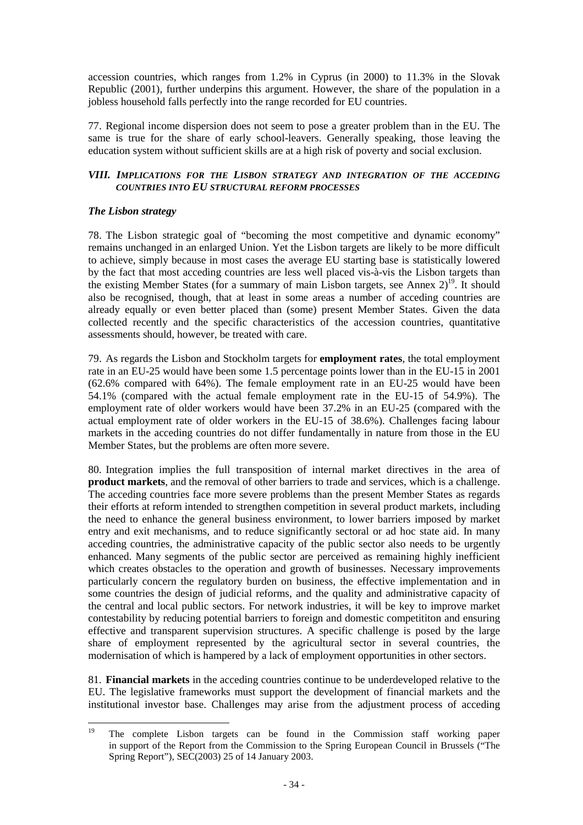accession countries, which ranges from 1.2% in Cyprus (in 2000) to 11.3% in the Slovak Republic (2001), further underpins this argument. However, the share of the population in a jobless household falls perfectly into the range recorded for EU countries.

77. Regional income dispersion does not seem to pose a greater problem than in the EU. The same is true for the share of early school-leavers. Generally speaking, those leaving the education system without sufficient skills are at a high risk of poverty and social exclusion.

#### *VIII. IMPLICATIONS FOR THE LISBON STRATEGY AND INTEGRATION OF THE ACCEDING COUNTRIES INTO EU STRUCTURAL REFORM PROCESSES*

#### *The Lisbon strategy*

78. The Lisbon strategic goal of "becoming the most competitive and dynamic economy" remains unchanged in an enlarged Union. Yet the Lisbon targets are likely to be more difficult to achieve, simply because in most cases the average EU starting base is statistically lowered by the fact that most acceding countries are less well placed vis-à-vis the Lisbon targets than the existing Member States (for a summary of main Lisbon targets, see Annex  $2)^{19}$ . It should also be recognised, though, that at least in some areas a number of acceding countries are already equally or even better placed than (some) present Member States. Given the data collected recently and the specific characteristics of the accession countries, quantitative assessments should, however, be treated with care.

79. As regards the Lisbon and Stockholm targets for **employment rates**, the total employment rate in an EU-25 would have been some 1.5 percentage points lower than in the EU-15 in 2001 (62.6% compared with 64%). The female employment rate in an EU-25 would have been 54.1% (compared with the actual female employment rate in the EU-15 of 54.9%). The employment rate of older workers would have been 37.2% in an EU-25 (compared with the actual employment rate of older workers in the EU-15 of 38.6%). Challenges facing labour markets in the acceding countries do not differ fundamentally in nature from those in the EU Member States, but the problems are often more severe.

80. Integration implies the full transposition of internal market directives in the area of **product markets**, and the removal of other barriers to trade and services, which is a challenge. The acceding countries face more severe problems than the present Member States as regards their efforts at reform intended to strengthen competition in several product markets, including the need to enhance the general business environment, to lower barriers imposed by market entry and exit mechanisms, and to reduce significantly sectoral or ad hoc state aid. In many acceding countries, the administrative capacity of the public sector also needs to be urgently enhanced. Many segments of the public sector are perceived as remaining highly inefficient which creates obstacles to the operation and growth of businesses. Necessary improvements particularly concern the regulatory burden on business, the effective implementation and in some countries the design of judicial reforms, and the quality and administrative capacity of the central and local public sectors. For network industries, it will be key to improve market contestability by reducing potential barriers to foreign and domestic competititon and ensuring effective and transparent supervision structures. A specific challenge is posed by the large share of employment represented by the agricultural sector in several countries, the modernisation of which is hampered by a lack of employment opportunities in other sectors.

81. **Financial markets** in the acceding countries continue to be underdeveloped relative to the EU. The legislative frameworks must support the development of financial markets and the institutional investor base. Challenges may arise from the adjustment process of acceding

<sup>19</sup> 19 The complete Lisbon targets can be found in the Commission staff working paper in support of the Report from the Commission to the Spring European Council in Brussels ("The Spring Report"), SEC(2003) 25 of 14 January 2003.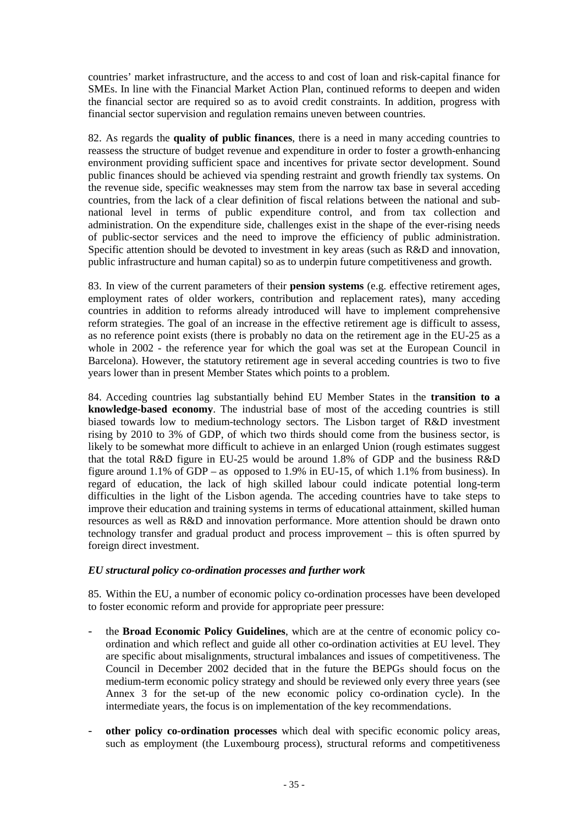countries' market infrastructure, and the access to and cost of loan and risk-capital finance for SMEs. In line with the Financial Market Action Plan, continued reforms to deepen and widen the financial sector are required so as to avoid credit constraints. In addition, progress with financial sector supervision and regulation remains uneven between countries.

82. As regards the **quality of public finances**, there is a need in many acceding countries to reassess the structure of budget revenue and expenditure in order to foster a growth-enhancing environment providing sufficient space and incentives for private sector development. Sound public finances should be achieved via spending restraint and growth friendly tax systems. On the revenue side, specific weaknesses may stem from the narrow tax base in several acceding countries, from the lack of a clear definition of fiscal relations between the national and subnational level in terms of public expenditure control, and from tax collection and administration. On the expenditure side, challenges exist in the shape of the ever-rising needs of public-sector services and the need to improve the efficiency of public administration. Specific attention should be devoted to investment in key areas (such as R&D and innovation, public infrastructure and human capital) so as to underpin future competitiveness and growth.

83. In view of the current parameters of their **pension systems** (e.g. effective retirement ages, employment rates of older workers, contribution and replacement rates), many acceding countries in addition to reforms already introduced will have to implement comprehensive reform strategies. The goal of an increase in the effective retirement age is difficult to assess, as no reference point exists (there is probably no data on the retirement age in the EU-25 as a whole in 2002 - the reference year for which the goal was set at the European Council in Barcelona). However, the statutory retirement age in several acceding countries is two to five years lower than in present Member States which points to a problem.

84. Acceding countries lag substantially behind EU Member States in the **transition to a knowledge-based economy**. The industrial base of most of the acceding countries is still biased towards low to medium-technology sectors. The Lisbon target of R&D investment rising by 2010 to 3% of GDP, of which two thirds should come from the business sector, is likely to be somewhat more difficult to achieve in an enlarged Union (rough estimates suggest that the total R&D figure in EU-25 would be around 1.8% of GDP and the business R&D figure around 1.1% of GDP – as opposed to 1.9% in EU-15, of which 1.1% from business). In regard of education, the lack of high skilled labour could indicate potential long-term difficulties in the light of the Lisbon agenda. The acceding countries have to take steps to improve their education and training systems in terms of educational attainment, skilled human resources as well as R&D and innovation performance. More attention should be drawn onto technology transfer and gradual product and process improvement – this is often spurred by foreign direct investment.

# *EU structural policy co-ordination processes and further work*

85. Within the EU, a number of economic policy co-ordination processes have been developed to foster economic reform and provide for appropriate peer pressure:

- the **Broad Economic Policy Guidelines**, which are at the centre of economic policy coordination and which reflect and guide all other co-ordination activities at EU level. They are specific about misalignments, structural imbalances and issues of competitiveness. The Council in December 2002 decided that in the future the BEPGs should focus on the medium-term economic policy strategy and should be reviewed only every three years (see Annex 3 for the set-up of the new economic policy co-ordination cycle). In the intermediate years, the focus is on implementation of the key recommendations.
- **other policy co-ordination processes** which deal with specific economic policy areas, such as employment (the Luxembourg process), structural reforms and competitiveness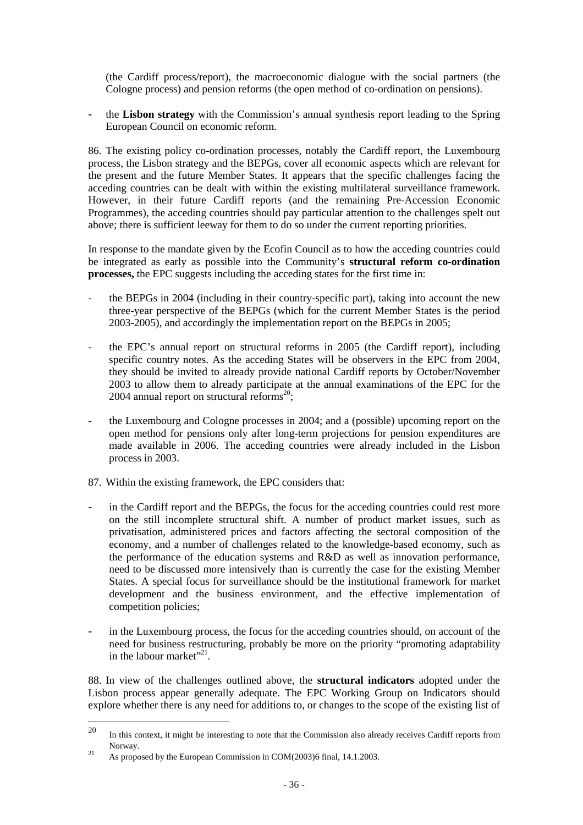(the Cardiff process/report), the macroeconomic dialogue with the social partners (the Cologne process) and pension reforms (the open method of co-ordination on pensions).

- the **Lisbon strategy** with the Commission's annual synthesis report leading to the Spring European Council on economic reform.

86. The existing policy co-ordination processes, notably the Cardiff report, the Luxembourg process, the Lisbon strategy and the BEPGs, cover all economic aspects which are relevant for the present and the future Member States. It appears that the specific challenges facing the acceding countries can be dealt with within the existing multilateral surveillance framework. However, in their future Cardiff reports (and the remaining Pre-Accession Economic Programmes), the acceding countries should pay particular attention to the challenges spelt out above; there is sufficient leeway for them to do so under the current reporting priorities.

In response to the mandate given by the Ecofin Council as to how the acceding countries could be integrated as early as possible into the Community's **structural reform co-ordination processes,** the EPC suggests including the acceding states for the first time in:

- the BEPGs in 2004 (including in their country-specific part), taking into account the new three-year perspective of the BEPGs (which for the current Member States is the period 2003-2005), and accordingly the implementation report on the BEPGs in 2005;
- the EPC's annual report on structural reforms in 2005 (the Cardiff report), including specific country notes. As the acceding States will be observers in the EPC from 2004, they should be invited to already provide national Cardiff reports by October/November 2003 to allow them to already participate at the annual examinations of the EPC for the 2004 annual report on structural reforms<sup>20</sup>;
- the Luxembourg and Cologne processes in 2004; and a (possible) upcoming report on the open method for pensions only after long-term projections for pension expenditures are made available in 2006. The acceding countries were already included in the Lisbon process in 2003.
- 87. Within the existing framework, the EPC considers that:
- in the Cardiff report and the BEPGs, the focus for the acceding countries could rest more on the still incomplete structural shift. A number of product market issues, such as privatisation, administered prices and factors affecting the sectoral composition of the economy, and a number of challenges related to the knowledge-based economy, such as the performance of the education systems and R&D as well as innovation performance, need to be discussed more intensively than is currently the case for the existing Member States. A special focus for surveillance should be the institutional framework for market development and the business environment, and the effective implementation of competition policies;
- in the Luxembourg process, the focus for the acceding countries should, on account of the need for business restructuring, probably be more on the priority "promoting adaptability in the labour market" $^{21}$ .

88. In view of the challenges outlined above, the **structural indicators** adopted under the Lisbon process appear generally adequate. The EPC Working Group on Indicators should explore whether there is any need for additions to, or changes to the scope of the existing list of

<sup>20</sup> <sup>20</sup> In this context, it might be interesting to note that the Commission also already receives Cardiff reports from Norway. <sup>21</sup> As proposed by the European Commission in COM(2003)6 final, 14.1.2003.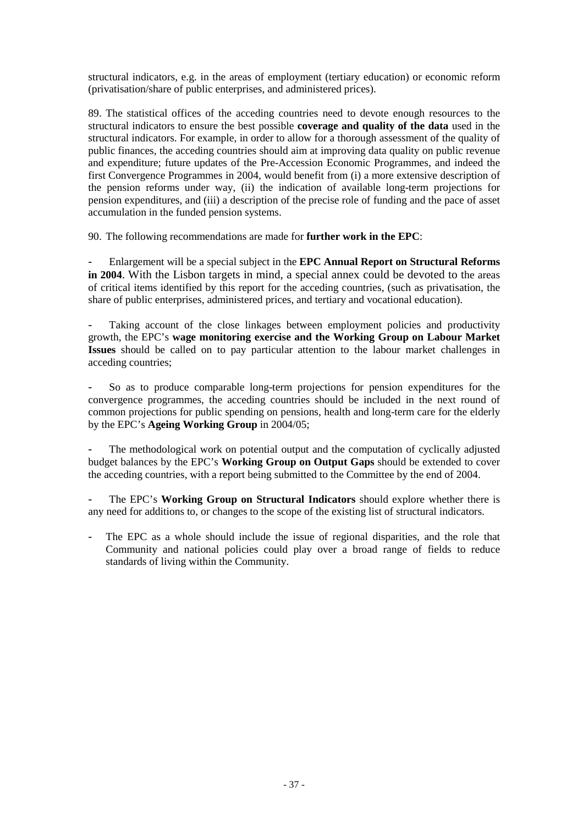structural indicators, e.g. in the areas of employment (tertiary education) or economic reform (privatisation/share of public enterprises, and administered prices).

89. The statistical offices of the acceding countries need to devote enough resources to the structural indicators to ensure the best possible **coverage and quality of the data** used in the structural indicators. For example, in order to allow for a thorough assessment of the quality of public finances, the acceding countries should aim at improving data quality on public revenue and expenditure; future updates of the Pre-Accession Economic Programmes, and indeed the first Convergence Programmes in 2004, would benefit from (i) a more extensive description of the pension reforms under way, (ii) the indication of available long-term projections for pension expenditures, and (iii) a description of the precise role of funding and the pace of asset accumulation in the funded pension systems.

90. The following recommendations are made for **further work in the EPC**:

- Enlargement will be a special subject in the **EPC Annual Report on Structural Reforms in 2004**. With the Lisbon targets in mind, a special annex could be devoted to the areas of critical items identified by this report for the acceding countries, (such as privatisation, the share of public enterprises, administered prices, and tertiary and vocational education).

Taking account of the close linkages between employment policies and productivity growth, the EPC's **wage monitoring exercise and the Working Group on Labour Market Issues** should be called on to pay particular attention to the labour market challenges in acceding countries;

- So as to produce comparable long-term projections for pension expenditures for the convergence programmes, the acceding countries should be included in the next round of common projections for public spending on pensions, health and long-term care for the elderly by the EPC's **Ageing Working Group** in 2004/05;

The methodological work on potential output and the computation of cyclically adjusted budget balances by the EPC's **Working Group on Output Gaps** should be extended to cover the acceding countries, with a report being submitted to the Committee by the end of 2004.

The EPC's **Working Group on Structural Indicators** should explore whether there is any need for additions to, or changes to the scope of the existing list of structural indicators.

The EPC as a whole should include the issue of regional disparities, and the role that Community and national policies could play over a broad range of fields to reduce standards of living within the Community.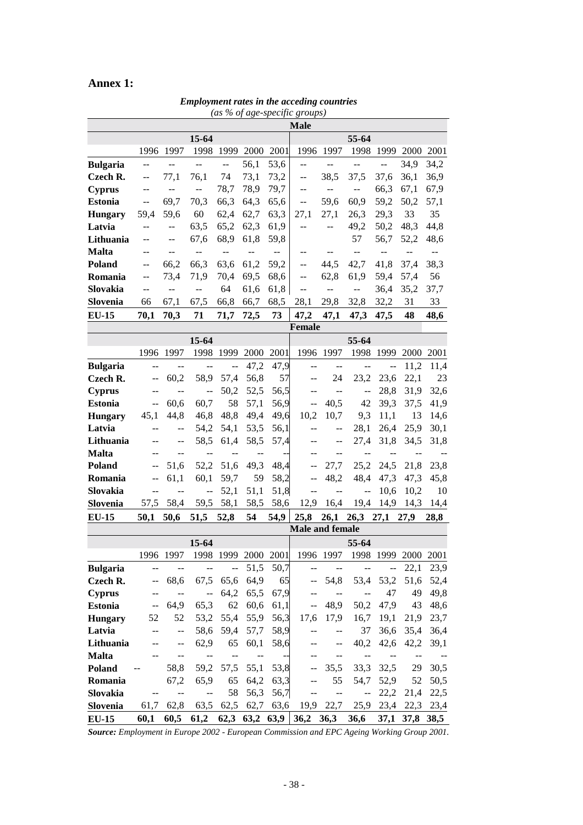# **Annex 1:**

| (as % of age-specific groups) |                  |                          |                           |                          |                          |                          |                                               |                          |                          |                                     |                     |                          |  |
|-------------------------------|------------------|--------------------------|---------------------------|--------------------------|--------------------------|--------------------------|-----------------------------------------------|--------------------------|--------------------------|-------------------------------------|---------------------|--------------------------|--|
|                               | <b>Male</b>      |                          |                           |                          |                          |                          |                                               |                          |                          |                                     |                     |                          |  |
|                               |                  | 15-64                    |                           |                          |                          |                          | 55-64                                         |                          |                          |                                     |                     |                          |  |
|                               |                  | 1996 1997                | 1998                      | 1999                     | 2000                     | 2001                     |                                               | 1996 1997                |                          | 1998 1999 2000                      |                     | 2001                     |  |
| <b>Bulgaria</b>               | $\overline{a}$   | $\overline{a}$           | $\overline{a}$            | $\overline{\phantom{a}}$ | 56,1                     | 53,6                     | --                                            | $\overline{a}$           | $\frac{1}{2}$            | ш.,                                 | 34,9                | 34,2                     |  |
| Czech R.                      | $\mathrel{{-}-}$ | 77,1                     | 76,1                      | 74                       | 73,1                     | 73,2                     | $\overline{\phantom{a}}$                      | 38,5                     | 37,5                     | 37,6                                | 36,1                | 36,9                     |  |
| <b>Cyprus</b>                 | --               | --                       | $\mathbb{L}^{\mathbb{L}}$ | 78,7                     | 78,9                     | 79,7                     | --                                            | $\overline{a}$           | $\overline{a}$           | 66,3                                | 67,1                | 67,9                     |  |
| <b>Estonia</b>                | $\overline{a}$   | 69,7                     | 70,3                      | 66,3                     | 64,3                     | 65,6                     | --                                            | 59,6                     | 60,9                     | 59,2                                | 50,2                | 57,1                     |  |
| <b>Hungary</b>                | 59,4             | 59,6                     | 60                        | 62,4                     | 62,7                     | 63,3                     | 27,1                                          | 27,1                     | 26,3                     | 29,3                                | 33                  | 35                       |  |
| Latvia                        | $-$              | $\overline{a}$           | 63,5                      | 65,2                     | 62,3                     | 61,9                     | --                                            | $-$                      | 49,2                     | 50,2                                | 48,3                | 44,8                     |  |
| Lithuania                     | --               | $\sim$ $-$               | 67,6                      | 68,9                     | 61,8                     | 59,8                     |                                               |                          | 57                       | 56,7                                | 52,2                | 48,6                     |  |
| <b>Malta</b>                  | --               | --                       | $\overline{\phantom{a}}$  | $\overline{\phantom{m}}$ | $\overline{a}$           | $\overline{\phantom{m}}$ | $-$                                           | $\overline{\phantom{a}}$ | ш.,                      | $\overline{a}$                      | $-$                 | $\overline{\phantom{a}}$ |  |
| Poland                        | --               | 66,2                     | 66,3                      | 63,6                     | 61,2                     | 59,2                     | $-$                                           | 44,5                     | 42,7                     | 41,8                                | 37,4                | 38,3                     |  |
| Romania                       | --               | 73,4                     | 71,9                      | 70,4                     | 69,5                     | 68,6                     | $\mathord{\hspace{1pt}\text{--}\hspace{1pt}}$ | 62,8                     | 61,9                     | 59,4                                | 57,4                | 56                       |  |
| Slovakia                      | $-$              | --                       | $-$                       | 64                       | 61,6                     | 61,8                     | $\mathord{\hspace{1pt}\text{--}\hspace{1pt}}$ | $\overline{a}$           | $\overline{\phantom{a}}$ | 36,4                                | 35,2                | 37,7                     |  |
| Slovenia                      | 66               | 67,1                     | 67,5                      | 66,8                     | 66,7                     | 68,5                     | 28,1                                          | 29,8                     | 32,8                     | 32,2                                | 31                  | 33                       |  |
| <b>EU-15</b>                  | 70,1             | 70,3                     | 71                        | 71,7                     | 72,5                     | 73                       | 47,2                                          | 47,1                     | 47,3                     | 47,5                                | 48                  | 48,6                     |  |
|                               |                  |                          |                           |                          |                          |                          | <b>Female</b>                                 |                          |                          |                                     |                     |                          |  |
|                               |                  |                          | 15-64                     |                          |                          |                          |                                               |                          | 55-64                    |                                     |                     |                          |  |
|                               | 1996             | 1997                     | 1998                      | 1999 2000                |                          | 2001                     |                                               | 1996 1997                |                          |                                     | 1998 1999 2000 2001 |                          |  |
| <b>Bulgaria</b>               | $\overline{a}$   | $\overline{\phantom{a}}$ | $\overline{\phantom{a}}$  | $\overline{a}$           | 47,2                     | 47,9                     | --                                            | $\overline{a}$           | $\overline{a}$           | $\overline{\phantom{a}}$            | 11,2                | 11,4                     |  |
| Czech R.                      | --               | 60,2                     | 58,9                      | 57,4                     | 56,8                     | 57                       | --                                            | 24                       | 23,2                     | 23,6                                | 22,1                | 23                       |  |
| <b>Cyprus</b>                 | $-$              | $\overline{a}$           | $\overline{a}$            | 50,2                     | 52,5                     | 56,5                     | $-$                                           | $\overline{\phantom{a}}$ | $\overline{a}$           | 28,8                                | 31,9                | 32,6                     |  |
| <b>Estonia</b>                | $\overline{a}$   | 60,6                     | 60,7                      | 58                       | 57,1                     | 56,9                     | --                                            | 40,5                     | 42                       | 39,3                                | 37,5                | 41,9                     |  |
| <b>Hungary</b>                | 45,1             | 44,8                     | 46,8                      | 48,8                     | 49,4                     | 49,6                     | 10,2                                          | 10,7                     | 9,3                      | 11,1                                | 13                  | 14,6                     |  |
| Latvia                        | --               | $\sim$ $\sim$            | 54,2                      | 54,1                     | 53,5                     | 56,1                     | --                                            | $\overline{a}$           | 28,1                     | 26,4                                | 25,9                | 30,1                     |  |
| Lithuania                     | --               | $-$                      | 58,5                      | 61,4                     | 58,5                     | 57,4                     | --                                            | $-$                      | 27,4                     | 31,8                                | 34,5                | 31,8                     |  |
| <b>Malta</b>                  | --               | $-$                      | --                        | $-$                      | --                       |                          | --                                            | --                       | --                       | --                                  |                     |                          |  |
| Poland                        | --               | 51,6                     | 52,2                      | 51,6                     | 49,3                     | 48,4                     | --                                            | 27,7                     | 25,2                     | 24,5                                | 21,8                | 23,8                     |  |
| Romania                       | $-$              | 61,1                     | 60,1                      | 59,7                     | 59                       | 58,2                     | --                                            | 48,2                     | 48,4                     | 47,3                                | 47,3                | 45,8                     |  |
| Slovakia                      | $\overline{a}$   | $\overline{\phantom{a}}$ | $\overline{\phantom{a}}$  | 52,1                     | 51,1                     | 51,8                     | --                                            | $\overline{\phantom{m}}$ | $\overline{a}$           | 10,6                                | 10,2                | 10                       |  |
| Slovenia                      | 57,5             | 58,4                     | 59,5                      | 58,1                     | 58,5                     | 58,6                     | 12,9                                          | 16,4                     | 19,4                     | 14,9                                | 14,3                | 14,4                     |  |
| <b>EU-15</b>                  | 50,1             | 50,6                     | 51,5                      | 52,8                     | 54                       | 54,9                     | 25,8                                          | 26,1                     | $26,3$ 27,1              |                                     | 27,9                | 28,8                     |  |
|                               |                  |                          |                           |                          |                          |                          | Male and female                               |                          |                          |                                     |                     |                          |  |
|                               |                  |                          | 15-64                     |                          |                          |                          |                                               |                          | 55-64                    |                                     |                     |                          |  |
|                               |                  | 1996 1997                | 1998                      | 1999                     | 2000                     | 2001                     |                                               | 1996 1997                |                          | 1998 1999                           | 2000                | 2001                     |  |
| <b>Bulgaria</b>               | --               | --                       | $\overline{a}$            | $\overline{a}$           | 51,5                     | 50,7                     | $\overline{a}$                                | $\overline{a}$           | --                       | $-$                                 | 22,1                | 23,9                     |  |
| Czech R.                      | $-$              | 68,6                     | 67,5                      | 65,6                     | 64,9                     | 65                       |                                               | 54,8                     | 53,4                     | 53,2                                | 51,6                | 52,4                     |  |
| <b>Cyprus</b>                 | --               | $\overline{\phantom{a}}$ | $\overline{a}$            | 64,2                     | 65,5                     | 67,9                     | --                                            | $\overline{a}$           | $\overline{\phantom{a}}$ | 47                                  | 49                  | 49,8                     |  |
| <b>Estonia</b>                | $-$              | 64,9                     | 65,3                      | 62                       | 60,6                     | 61,1                     | --                                            | 48,9                     | 50,2                     | 47,9                                | 43                  | 48,6                     |  |
| <b>Hungary</b>                | 52               | 52                       | 53,2                      | 55,4                     | 55,9                     | 56,3                     | 17,6                                          | 17,9                     | 16,7                     | 19,1                                | 21,9                | 23,7                     |  |
| Latvia                        |                  | $\overline{\phantom{a}}$ | 58,6                      | 59,4                     | 57,7                     | 58,9                     | --                                            | --                       | 37                       | 36,6                                | 35,4                | 36,4                     |  |
| Lithuania                     |                  | $-$                      | 62,9                      | 65                       | 60,1                     | 58,6                     |                                               | --                       | 40,2                     | 42,6                                | 42,2                | 39,1                     |  |
| <b>Malta</b>                  |                  | $\qquad \qquad -$        | --                        | $\overline{\phantom{a}}$ | $\overline{\phantom{a}}$ | $\overline{\phantom{a}}$ |                                               | --                       | $\overline{a}$           | $\qquad \qquad \qquad \blacksquare$ | --                  |                          |  |
| Poland                        |                  | 58,8                     | 59,2                      | 57,5                     | 55,1                     | 53,8                     |                                               | 35,5                     | 33,3                     | 32,5                                | 29                  | 30,5                     |  |
| Romania                       |                  | 67,2                     | 65,9                      | 65                       | 64,2                     | 63,3                     |                                               | 55                       | 54,7                     | 52,9                                | 52                  | 50,5                     |  |
| Slovakia                      | --               | $\overline{a}$           | $\overline{a}$            | 58                       | 56,3                     | 56,7                     | --                                            | $\overline{a}$           | $\overline{\phantom{a}}$ | 22,2                                | 21,4                | 22,5                     |  |
| Slovenia                      | 61,7             | 62,8                     | 63,5                      | 62,5                     | 62,7                     | 63,6                     | 19,9                                          | 22,7                     | 25,9                     | 23,4                                | 22,3                | 23,4                     |  |
| <b>EU-15</b>                  | 60,1             | 60,5                     | 61,2                      | 62,3                     | 63,2                     | 63,9                     | 36,2 36,3                                     |                          | 36,6                     | 37,1                                | 37,8                | 38,5                     |  |

*Employment rates in the acceding countries*

*Source: Employment in Europe 2002 - European Commission and EPC Ageing Working Group 2001.*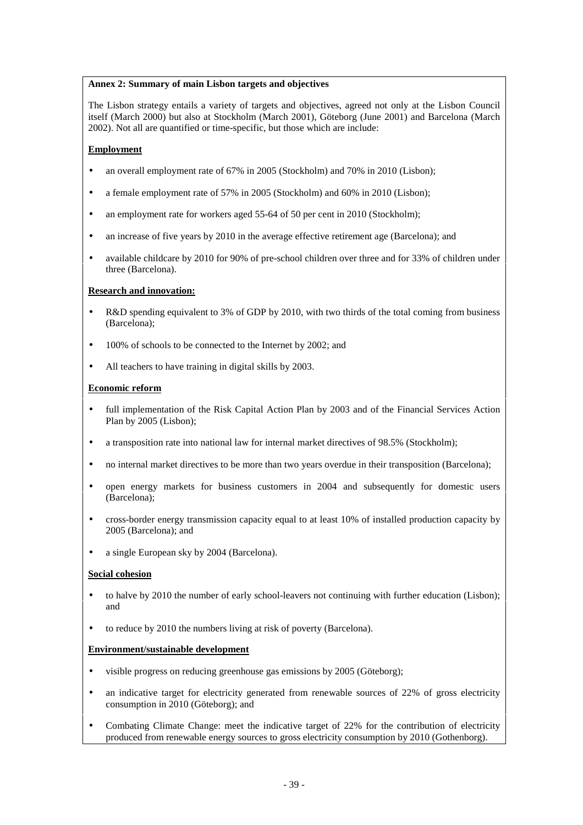#### **Annex 2: Summary of main Lisbon targets and objectives**

The Lisbon strategy entails a variety of targets and objectives, agreed not only at the Lisbon Council itself (March 2000) but also at Stockholm (March 2001), Göteborg (June 2001) and Barcelona (March 2002). Not all are quantified or time-specific, but those which are include:

#### **Employment**

- an overall employment rate of 67% in 2005 (Stockholm) and 70% in 2010 (Lisbon);
- a female employment rate of 57% in 2005 (Stockholm) and 60% in 2010 (Lisbon);
- an employment rate for workers aged 55-64 of 50 per cent in 2010 (Stockholm):
- an increase of five years by 2010 in the average effective retirement age (Barcelona); and
- available childcare by 2010 for 90% of pre-school children over three and for 33% of children under three (Barcelona).

#### **Research and innovation:**

- R&D spending equivalent to 3% of GDP by 2010, with two thirds of the total coming from business (Barcelona);
- 100% of schools to be connected to the Internet by 2002; and
- All teachers to have training in digital skills by 2003.

#### **Economic reform**

- full implementation of the Risk Capital Action Plan by 2003 and of the Financial Services Action Plan by 2005 (Lisbon);
- a transposition rate into national law for internal market directives of 98.5% (Stockholm);
- no internal market directives to be more than two years overdue in their transposition (Barcelona);
- open energy markets for business customers in 2004 and subsequently for domestic users (Barcelona);
- cross-border energy transmission capacity equal to at least 10% of installed production capacity by 2005 (Barcelona); and
- a single European sky by 2004 (Barcelona).

#### **Social cohesion**

- to halve by 2010 the number of early school-leavers not continuing with further education (Lisbon); and
- to reduce by 2010 the numbers living at risk of poverty (Barcelona).

#### **Environment/sustainable development**

- visible progress on reducing greenhouse gas emissions by 2005 (Göteborg);
- an indicative target for electricity generated from renewable sources of 22% of gross electricity consumption in 2010 (Göteborg); and
- Combating Climate Change: meet the indicative target of 22% for the contribution of electricity produced from renewable energy sources to gross electricity consumption by 2010 (Gothenborg).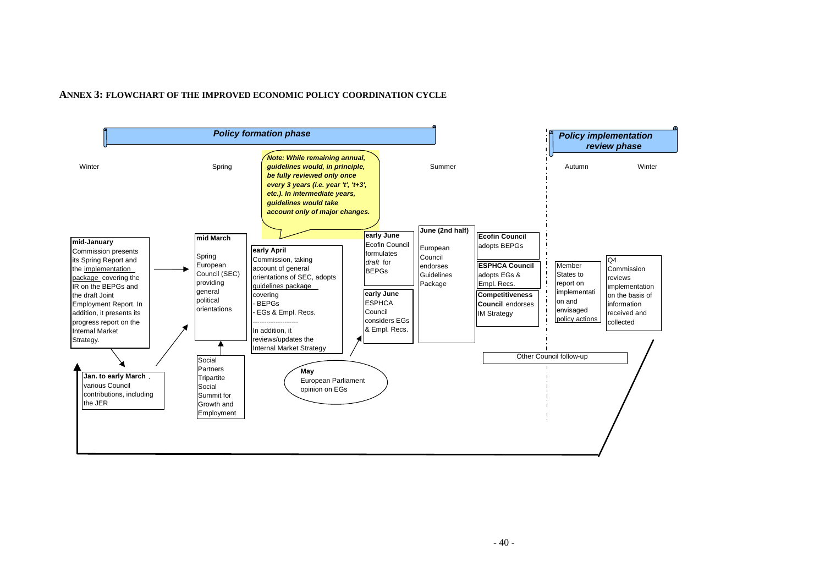#### **ANNEX 3: FLOWCHART OF THE IMPROVED ECONOMIC POLICY COORDINATION CYCLE**

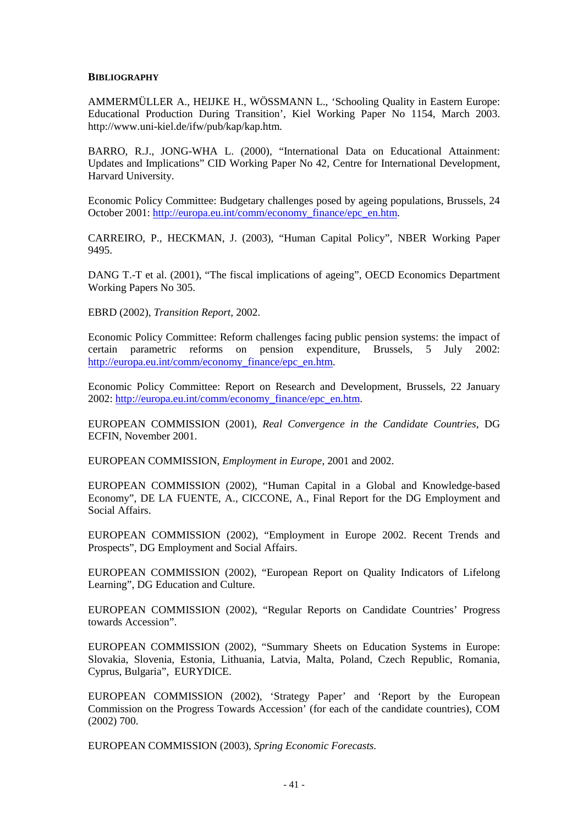#### **BIBLIOGRAPHY**

AMMERMÜLLER A., HEIJKE H., WÖSSMANN L., 'Schooling Quality in Eastern Europe: Educational Production During Transition', Kiel Working Paper No 1154, March 2003. http://www.uni-kiel.de/ifw/pub/kap/kap.htm.

BARRO, R.J., JONG-WHA L. (2000), "International Data on Educational Attainment: Updates and Implications" CID Working Paper No 42, Centre for International Development, Harvard University.

Economic Policy Committee: Budgetary challenges posed by ageing populations, Brussels, 24 October 2001: http://europa.eu.int/comm/economy\_finance/epc\_en.htm.

CARREIRO, P., HECKMAN, J. (2003), "Human Capital Policy", NBER Working Paper 9495.

DANG T.-T et al. (2001), "The fiscal implications of ageing", OECD Economics Department Working Papers No 305.

EBRD (2002), *Transition Report,* 2002.

Economic Policy Committee: Reform challenges facing public pension systems: the impact of certain parametric reforms on pension expenditure, Brussels, 5 July 2002: http://europa.eu.int/comm/economy\_finance/epc\_en.htm.

Economic Policy Committee: Report on Research and Development, Brussels, 22 January 2002: http://europa.eu.int/comm/economy\_finance/epc\_en.htm.

EUROPEAN COMMISSION (2001), *Real Convergence in the Candidate Countries*, DG ECFIN, November 2001.

EUROPEAN COMMISSION, *Employment in Europe*, 2001 and 2002.

EUROPEAN COMMISSION (2002), "Human Capital in a Global and Knowledge-based Economy", DE LA FUENTE, A., CICCONE, A., Final Report for the DG Employment and Social Affairs.

EUROPEAN COMMISSION (2002), "Employment in Europe 2002. Recent Trends and Prospects", DG Employment and Social Affairs.

EUROPEAN COMMISSION (2002), "European Report on Quality Indicators of Lifelong Learning", DG Education and Culture.

EUROPEAN COMMISSION (2002), "Regular Reports on Candidate Countries' Progress towards Accession".

EUROPEAN COMMISSION (2002), "Summary Sheets on Education Systems in Europe: Slovakia, Slovenia, Estonia, Lithuania, Latvia, Malta, Poland, Czech Republic, Romania, Cyprus, Bulgaria", EURYDICE.

EUROPEAN COMMISSION (2002), 'Strategy Paper' and 'Report by the European Commission on the Progress Towards Accession' (for each of the candidate countries), COM (2002) 700.

EUROPEAN COMMISSION (2003), *Spring Economic Forecasts.*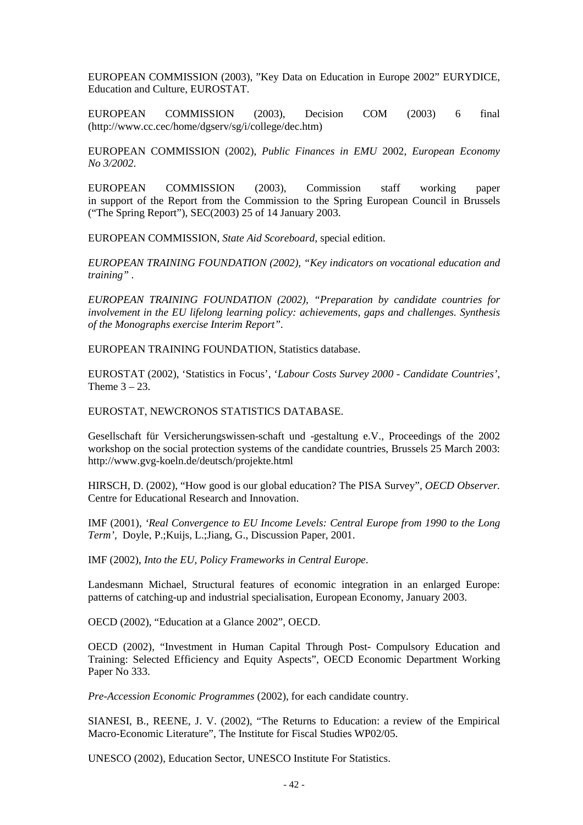EUROPEAN COMMISSION (2003), "Key Data on Education in Europe 2002" EURYDICE, Education and Culture, EUROSTAT.

EUROPEAN COMMISSION (2003), Decision COM (2003) 6 final (http://www.cc.cec/home/dgserv/sg/i/college/dec.htm)

EUROPEAN COMMISSION (2002), *Public Finances in EMU* 2002, *European Economy No 3/2002*.

EUROPEAN COMMISSION (2003), Commission staff working paper in support of the Report from the Commission to the Spring European Council in Brussels ("The Spring Report"), SEC(2003) 25 of 14 January 2003.

EUROPEAN COMMISSION, *State Aid Scoreboard,* special edition.

*EUROPEAN TRAINING FOUNDATION (2002), "Key indicators on vocational education and training" .*

*EUROPEAN TRAINING FOUNDATION (2002), "Preparation by candidate countries for involvement in the EU lifelong learning policy: achievements, gaps and challenges. Synthesis of the Monographs exercise Interim Report".*

EUROPEAN TRAINING FOUNDATION, Statistics database.

EUROSTAT (2002), 'Statistics in Focus', '*Labour Costs Survey 2000 - Candidate Countries',* Theme  $3 - 23$ .

EUROSTAT, NEWCRONOS STATISTICS DATABASE.

Gesellschaft für Versicherungswissen-schaft und -gestaltung e.V., Proceedings of the 2002 workshop on the social protection systems of the candidate countries, Brussels 25 March 2003: http://www.gvg-koeln.de/deutsch/projekte.html

HIRSCH, D. (2002), "How good is our global education? The PISA Survey", *OECD Observer.* Centre for Educational Research and Innovation.

IMF (2001), *'Real Convergence to EU Income Levels: Central Europe from 1990 to the Long Term',* Doyle, P.;Kuijs, L.;Jiang, G., Discussion Paper, 2001.

IMF (2002), *Into the EU, Policy Frameworks in Central Europe*.

Landesmann Michael, Structural features of economic integration in an enlarged Europe: patterns of catching-up and industrial specialisation, European Economy, January 2003.

OECD (2002), "Education at a Glance 2002", OECD.

OECD (2002), "Investment in Human Capital Through Post- Compulsory Education and Training: Selected Efficiency and Equity Aspects", OECD Economic Department Working Paper No 333.

*Pre-Accession Economic Programmes* (2002), for each candidate country.

SIANESI, B., REENE, J. V. (2002), "The Returns to Education: a review of the Empirical Macro-Economic Literature", The Institute for Fiscal Studies WP02/05.

UNESCO (2002), Education Sector, UNESCO Institute For Statistics.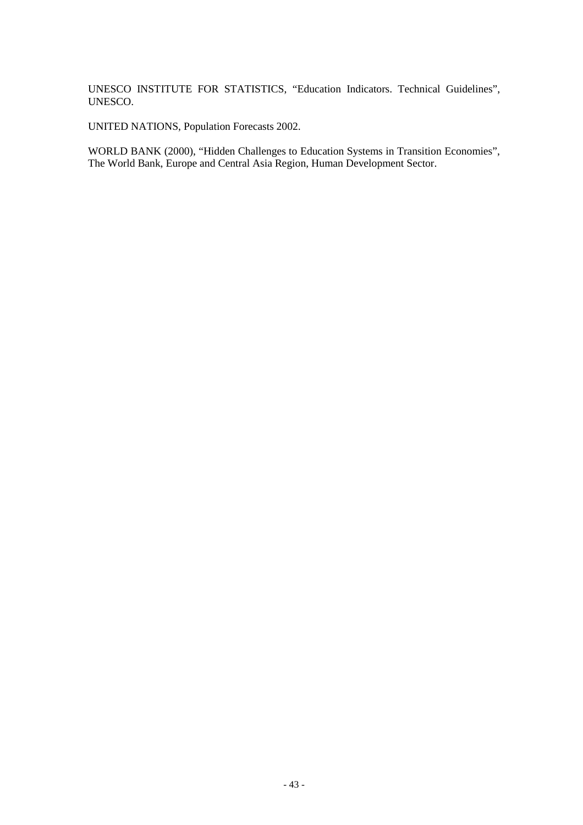UNESCO INSTITUTE FOR STATISTICS, "Education Indicators. Technical Guidelines", UNESCO.

UNITED NATIONS, Population Forecasts 2002.

WORLD BANK (2000), "Hidden Challenges to Education Systems in Transition Economies", The World Bank, Europe and Central Asia Region, Human Development Sector.